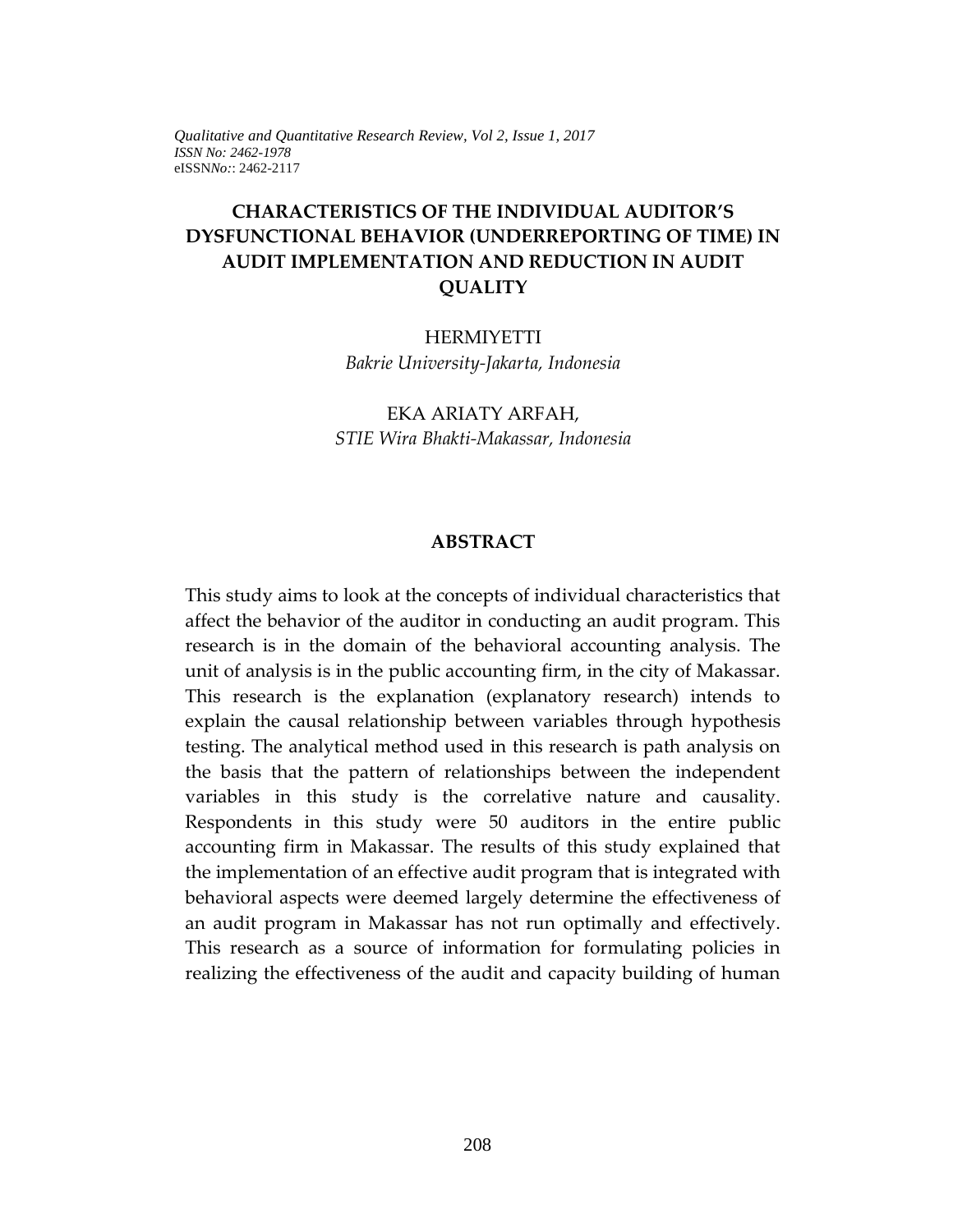# **CHARACTERISTICS OF THE INDIVIDUAL AUDITOR'S DYSFUNCTIONAL BEHAVIOR (UNDERREPORTING OF TIME) IN AUDIT IMPLEMENTATION AND REDUCTION IN AUDIT QUALITY**

HERMIYETTI *Bakrie University-Jakarta, Indonesia* 

EKA ARIATY ARFAH, *STIE Wira Bhakti-Makassar, Indonesia*

#### **ABSTRACT**

This study aims to look at the concepts of individual characteristics that affect the behavior of the auditor in conducting an audit program. This research is in the domain of the behavioral accounting analysis. The unit of analysis is in the public accounting firm, in the city of Makassar. This research is the explanation (explanatory research) intends to explain the causal relationship between variables through hypothesis testing. The analytical method used in this research is path analysis on the basis that the pattern of relationships between the independent variables in this study is the correlative nature and causality. Respondents in this study were 50 auditors in the entire public accounting firm in Makassar. The results of this study explained that the implementation of an effective audit program that is integrated with behavioral aspects were deemed largely determine the effectiveness of an audit program in Makassar has not run optimally and effectively. This research as a source of information for formulating policies in realizing the effectiveness of the audit and capacity building of human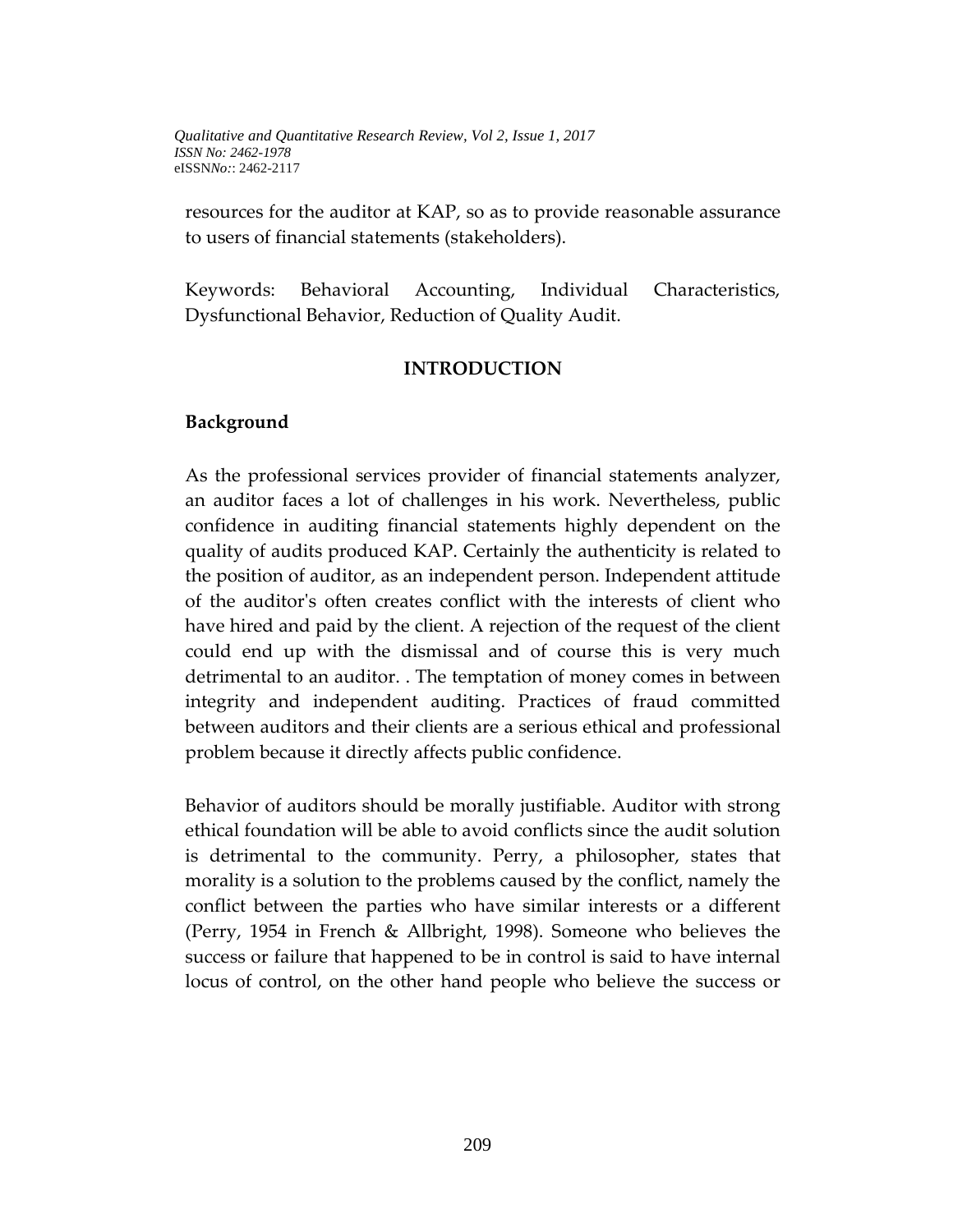resources for the auditor at KAP, so as to provide reasonable assurance to users of financial statements (stakeholders).

Keywords: Behavioral Accounting, Individual Characteristics, Dysfunctional Behavior, Reduction of Quality Audit.

#### **INTRODUCTION**

#### **Background**

As the professional services provider of financial statements analyzer, an auditor faces a lot of challenges in his work. Nevertheless, public confidence in auditing financial statements highly dependent on the quality of audits produced KAP. Certainly the authenticity is related to the position of auditor, as an independent person. Independent attitude of the auditor's often creates conflict with the interests of client who have hired and paid by the client. A rejection of the request of the client could end up with the dismissal and of course this is very much detrimental to an auditor. . The temptation of money comes in between integrity and independent auditing. Practices of fraud committed between auditors and their clients are a serious ethical and professional problem because it directly affects public confidence.

Behavior of auditors should be morally justifiable. Auditor with strong ethical foundation will be able to avoid conflicts since the audit solution is detrimental to the community. Perry, a philosopher, states that morality is a solution to the problems caused by the conflict, namely the conflict between the parties who have similar interests or a different (Perry, 1954 in French & Allbright, 1998). Someone who believes the success or failure that happened to be in control is said to have internal locus of control, on the other hand people who believe the success or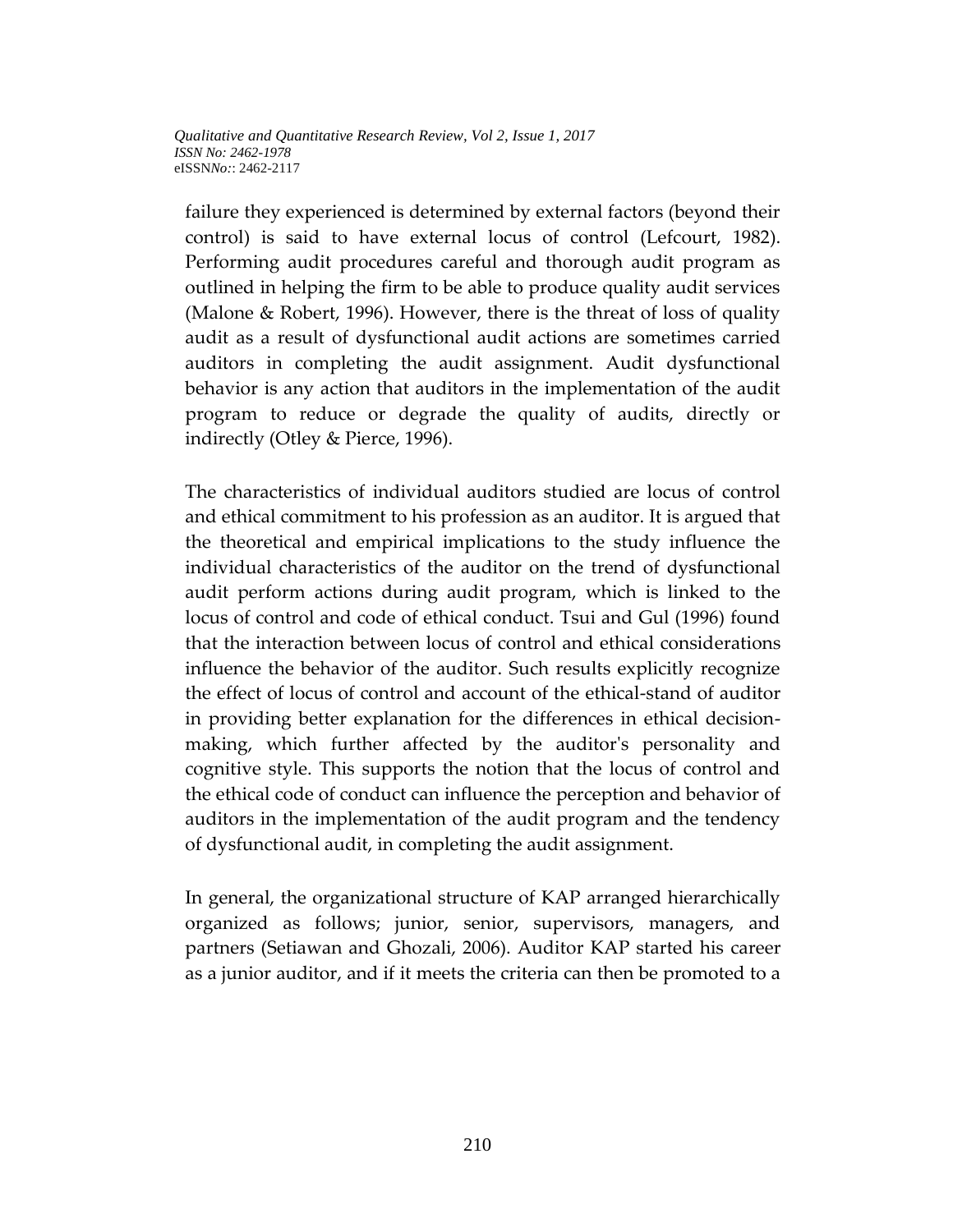failure they experienced is determined by external factors (beyond their control) is said to have external locus of control (Lefcourt, 1982). Performing audit procedures careful and thorough audit program as outlined in helping the firm to be able to produce quality audit services (Malone & Robert, 1996). However, there is the threat of loss of quality audit as a result of dysfunctional audit actions are sometimes carried auditors in completing the audit assignment. Audit dysfunctional behavior is any action that auditors in the implementation of the audit program to reduce or degrade the quality of audits, directly or indirectly (Otley & Pierce, 1996).

The characteristics of individual auditors studied are locus of control and ethical commitment to his profession as an auditor. It is argued that the theoretical and empirical implications to the study influence the individual characteristics of the auditor on the trend of dysfunctional audit perform actions during audit program, which is linked to the locus of control and code of ethical conduct. Tsui and Gul (1996) found that the interaction between locus of control and ethical considerations influence the behavior of the auditor. Such results explicitly recognize the effect of locus of control and account of the ethical-stand of auditor in providing better explanation for the differences in ethical decisionmaking, which further affected by the auditor's personality and cognitive style. This supports the notion that the locus of control and the ethical code of conduct can influence the perception and behavior of auditors in the implementation of the audit program and the tendency of dysfunctional audit, in completing the audit assignment.

In general, the organizational structure of KAP arranged hierarchically organized as follows; junior, senior, supervisors, managers, and partners (Setiawan and Ghozali, 2006). Auditor KAP started his career as a junior auditor, and if it meets the criteria can then be promoted to a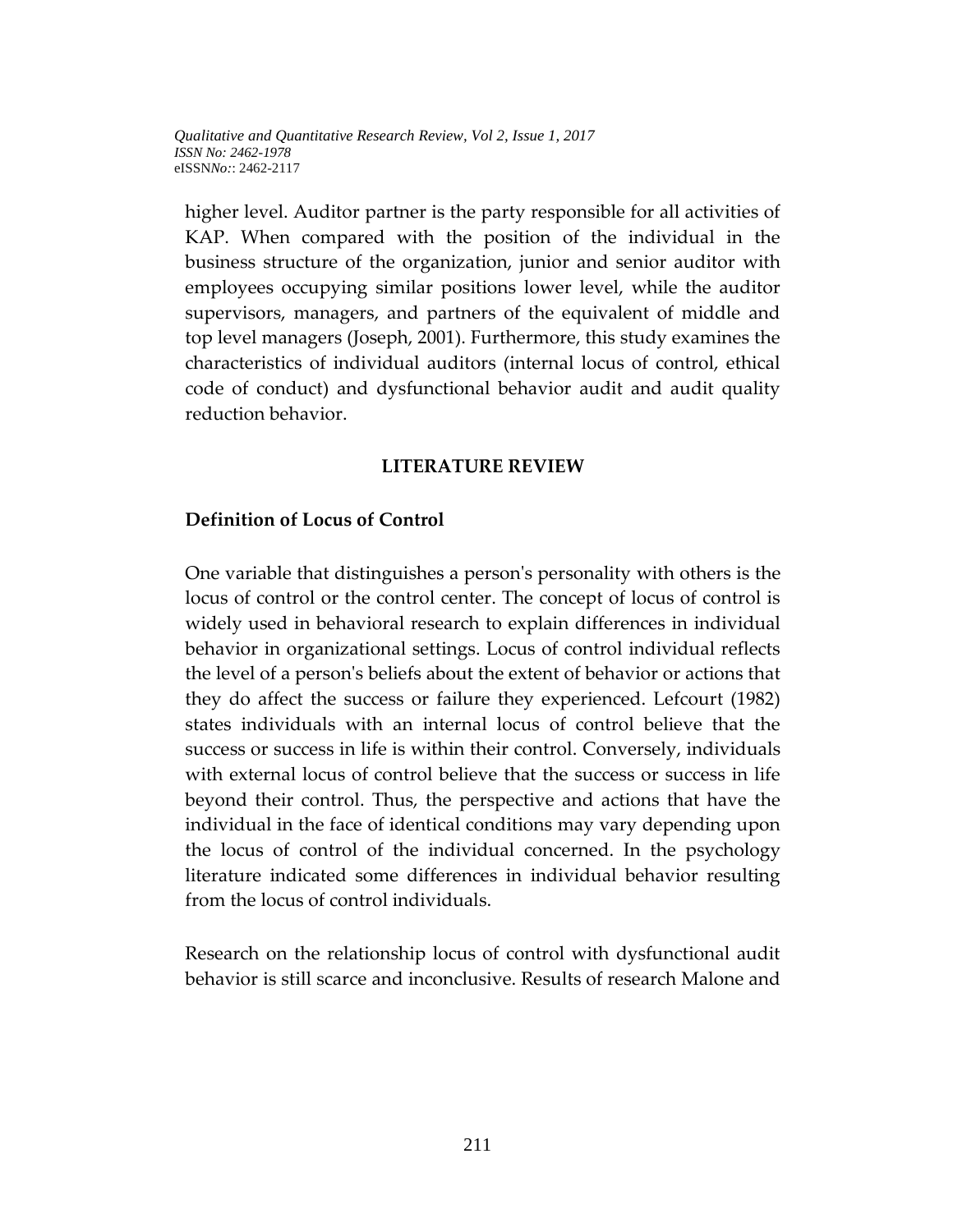higher level. Auditor partner is the party responsible for all activities of KAP. When compared with the position of the individual in the business structure of the organization, junior and senior auditor with employees occupying similar positions lower level, while the auditor supervisors, managers, and partners of the equivalent of middle and top level managers (Joseph, 2001). Furthermore, this study examines the characteristics of individual auditors (internal locus of control, ethical code of conduct) and dysfunctional behavior audit and audit quality reduction behavior.

### **LITERATURE REVIEW**

#### **Definition of Locus of Control**

One variable that distinguishes a person's personality with others is the locus of control or the control center. The concept of locus of control is widely used in behavioral research to explain differences in individual behavior in organizational settings. Locus of control individual reflects the level of a person's beliefs about the extent of behavior or actions that they do affect the success or failure they experienced. Lefcourt (1982) states individuals with an internal locus of control believe that the success or success in life is within their control. Conversely, individuals with external locus of control believe that the success or success in life beyond their control. Thus, the perspective and actions that have the individual in the face of identical conditions may vary depending upon the locus of control of the individual concerned. In the psychology literature indicated some differences in individual behavior resulting from the locus of control individuals.

Research on the relationship locus of control with dysfunctional audit behavior is still scarce and inconclusive. Results of research Malone and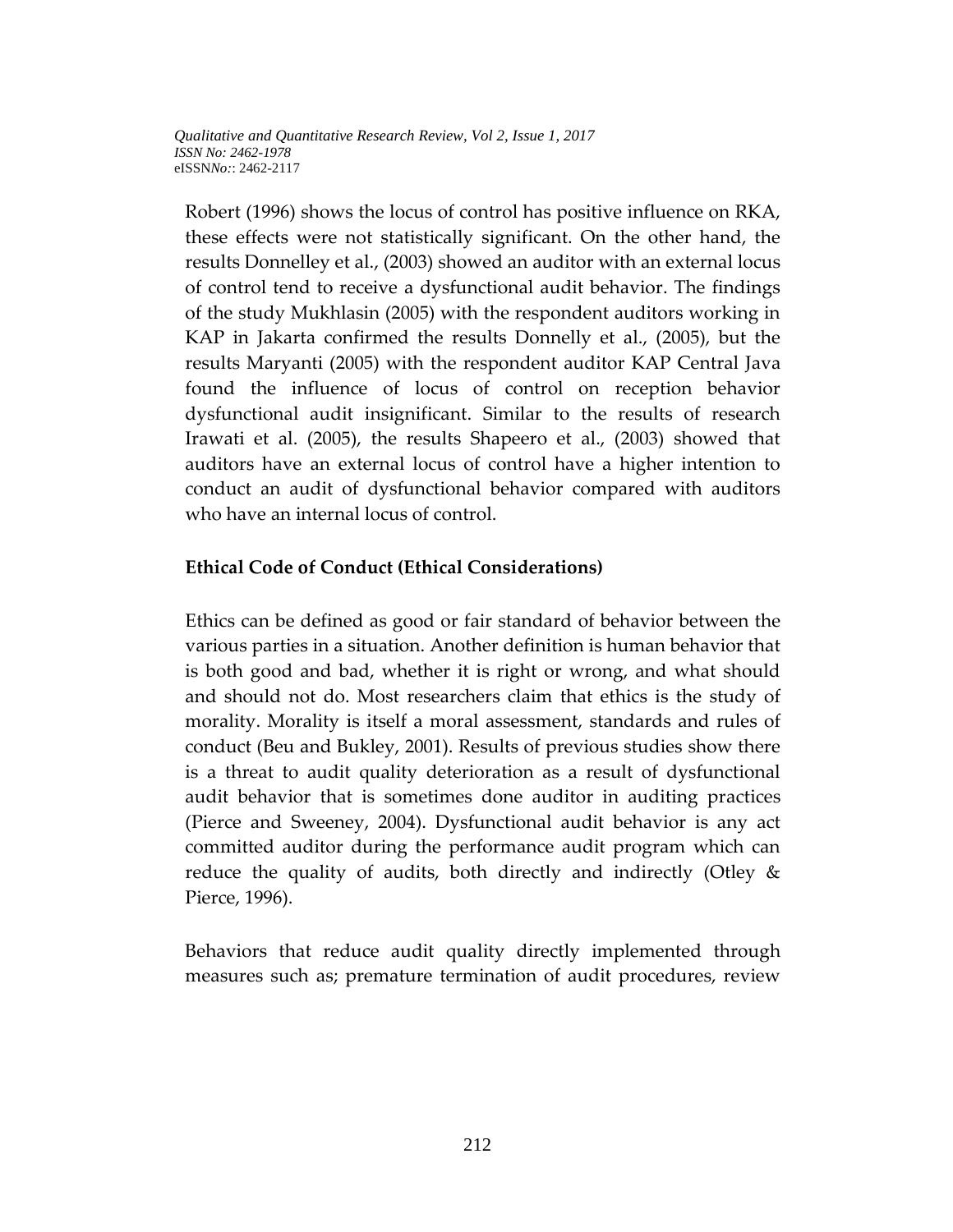Robert (1996) shows the locus of control has positive influence on RKA, these effects were not statistically significant. On the other hand, the results Donnelley et al., (2003) showed an auditor with an external locus of control tend to receive a dysfunctional audit behavior. The findings of the study Mukhlasin (2005) with the respondent auditors working in KAP in Jakarta confirmed the results Donnelly et al., (2005), but the results Maryanti (2005) with the respondent auditor KAP Central Java found the influence of locus of control on reception behavior dysfunctional audit insignificant. Similar to the results of research Irawati et al. (2005), the results Shapeero et al., (2003) showed that auditors have an external locus of control have a higher intention to conduct an audit of dysfunctional behavior compared with auditors who have an internal locus of control.

## **Ethical Code of Conduct (Ethical Considerations)**

Ethics can be defined as good or fair standard of behavior between the various parties in a situation. Another definition is human behavior that is both good and bad, whether it is right or wrong, and what should and should not do. Most researchers claim that ethics is the study of morality. Morality is itself a moral assessment, standards and rules of conduct (Beu and Bukley, 2001). Results of previous studies show there is a threat to audit quality deterioration as a result of dysfunctional audit behavior that is sometimes done auditor in auditing practices (Pierce and Sweeney, 2004). Dysfunctional audit behavior is any act committed auditor during the performance audit program which can reduce the quality of audits, both directly and indirectly (Otley & Pierce, 1996).

Behaviors that reduce audit quality directly implemented through measures such as; premature termination of audit procedures, review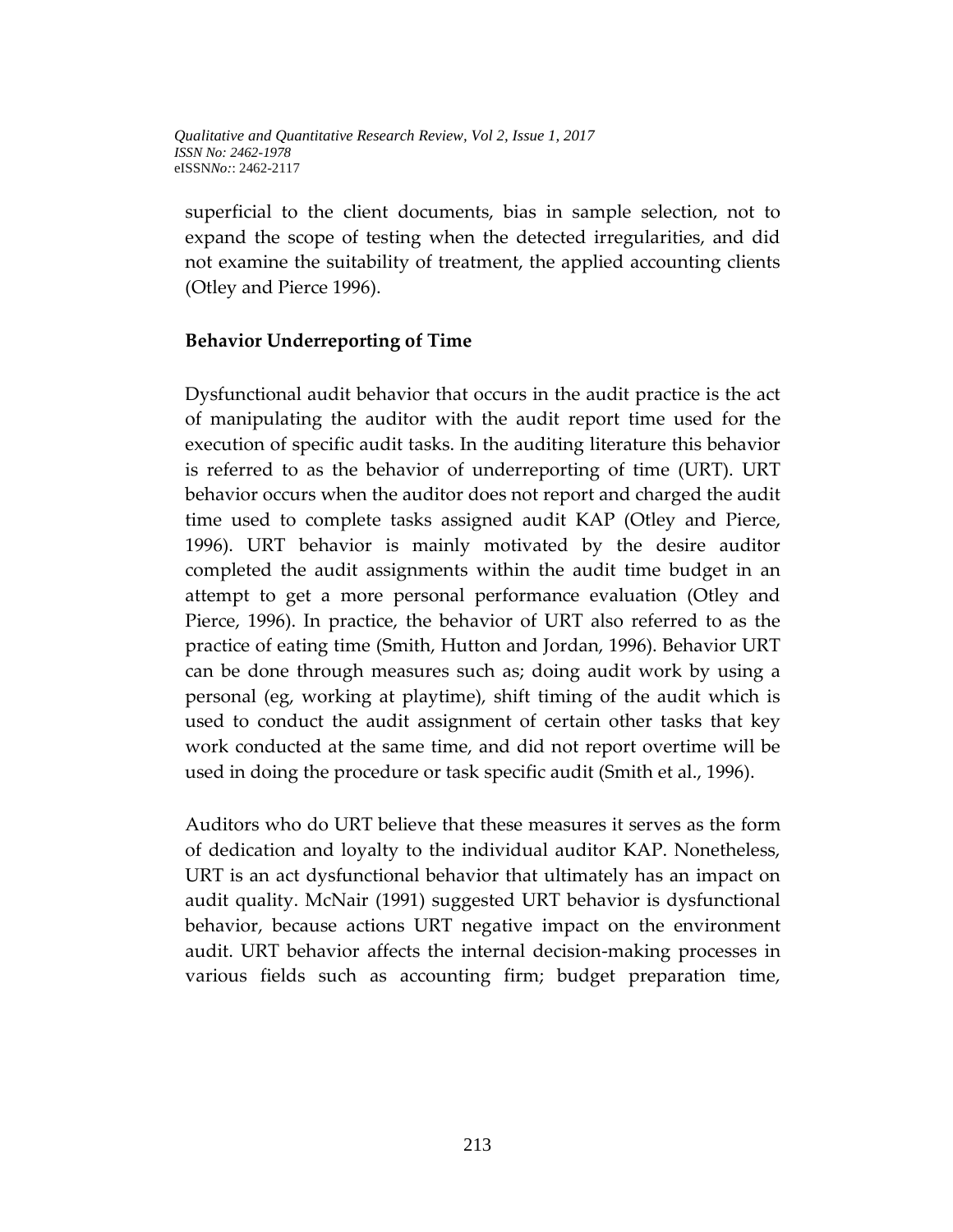superficial to the client documents, bias in sample selection, not to expand the scope of testing when the detected irregularities, and did not examine the suitability of treatment, the applied accounting clients (Otley and Pierce 1996).

## **Behavior Underreporting of Time**

Dysfunctional audit behavior that occurs in the audit practice is the act of manipulating the auditor with the audit report time used for the execution of specific audit tasks. In the auditing literature this behavior is referred to as the behavior of underreporting of time (URT). URT behavior occurs when the auditor does not report and charged the audit time used to complete tasks assigned audit KAP (Otley and Pierce, 1996). URT behavior is mainly motivated by the desire auditor completed the audit assignments within the audit time budget in an attempt to get a more personal performance evaluation (Otley and Pierce, 1996). In practice, the behavior of URT also referred to as the practice of eating time (Smith, Hutton and Jordan, 1996). Behavior URT can be done through measures such as; doing audit work by using a personal (eg, working at playtime), shift timing of the audit which is used to conduct the audit assignment of certain other tasks that key work conducted at the same time, and did not report overtime will be used in doing the procedure or task specific audit (Smith et al., 1996).

Auditors who do URT believe that these measures it serves as the form of dedication and loyalty to the individual auditor KAP. Nonetheless, URT is an act dysfunctional behavior that ultimately has an impact on audit quality. McNair (1991) suggested URT behavior is dysfunctional behavior, because actions URT negative impact on the environment audit. URT behavior affects the internal decision-making processes in various fields such as accounting firm; budget preparation time,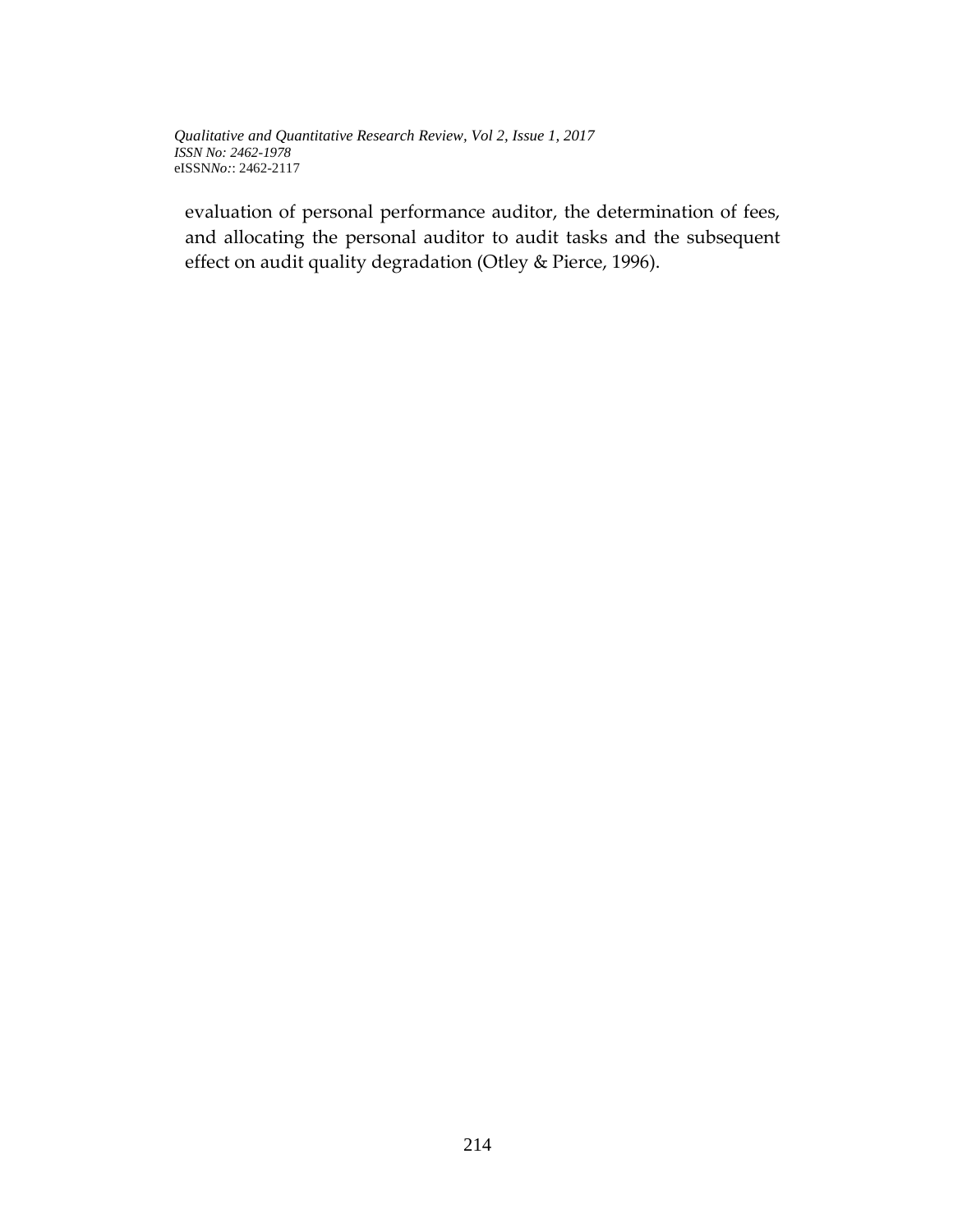evaluation of personal performance auditor, the determination of fees, and allocating the personal auditor to audit tasks and the subsequent effect on audit quality degradation (Otley & Pierce, 1996).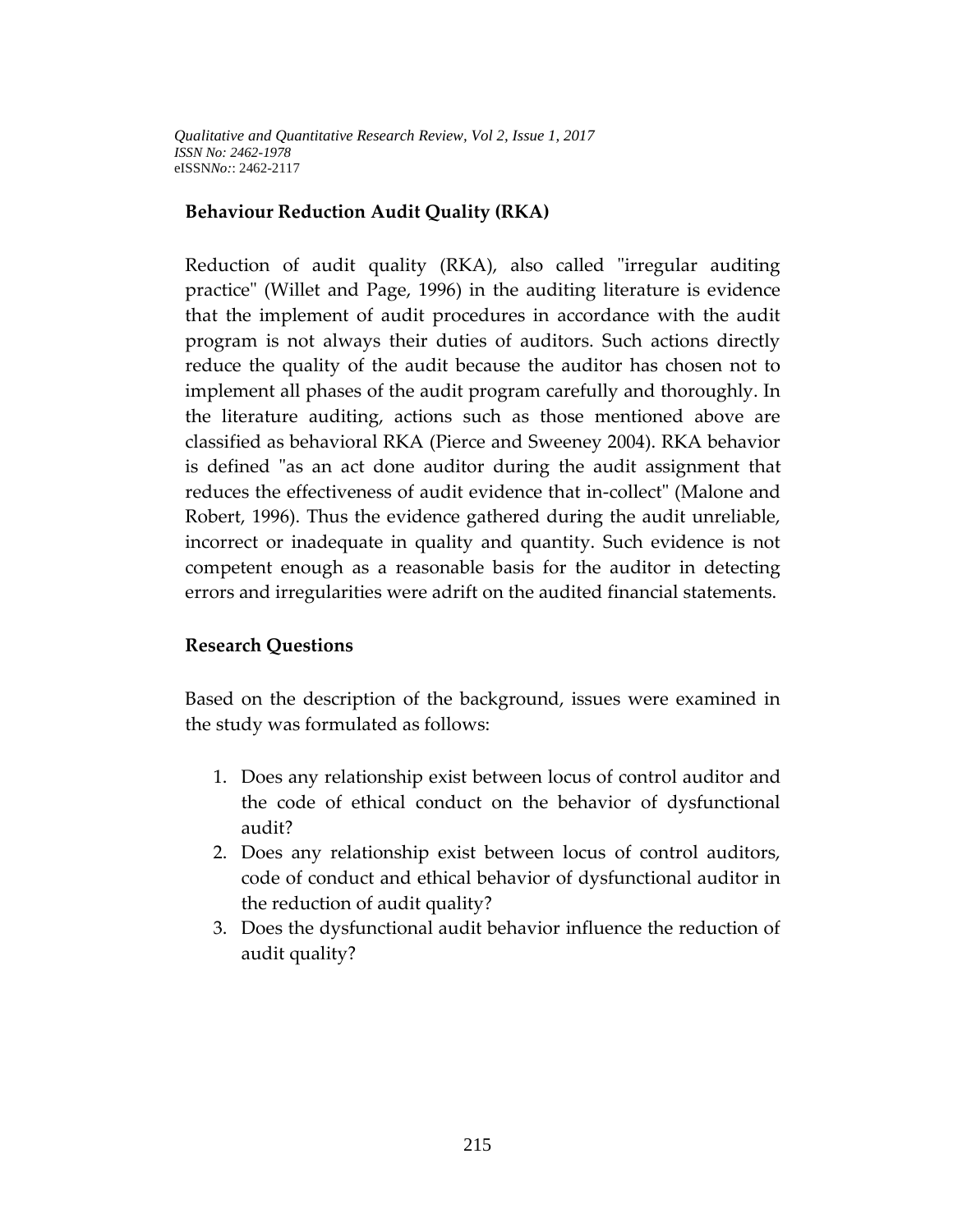### **Behaviour Reduction Audit Quality (RKA)**

Reduction of audit quality (RKA), also called "irregular auditing practice" (Willet and Page, 1996) in the auditing literature is evidence that the implement of audit procedures in accordance with the audit program is not always their duties of auditors. Such actions directly reduce the quality of the audit because the auditor has chosen not to implement all phases of the audit program carefully and thoroughly. In the literature auditing, actions such as those mentioned above are classified as behavioral RKA (Pierce and Sweeney 2004). RKA behavior is defined "as an act done auditor during the audit assignment that reduces the effectiveness of audit evidence that in-collect" (Malone and Robert, 1996). Thus the evidence gathered during the audit unreliable, incorrect or inadequate in quality and quantity. Such evidence is not competent enough as a reasonable basis for the auditor in detecting errors and irregularities were adrift on the audited financial statements.

### **Research Questions**

Based on the description of the background, issues were examined in the study was formulated as follows:

- 1. Does any relationship exist between locus of control auditor and the code of ethical conduct on the behavior of dysfunctional audit?
- 2. Does any relationship exist between locus of control auditors, code of conduct and ethical behavior of dysfunctional auditor in the reduction of audit quality?
- 3. Does the dysfunctional audit behavior influence the reduction of audit quality?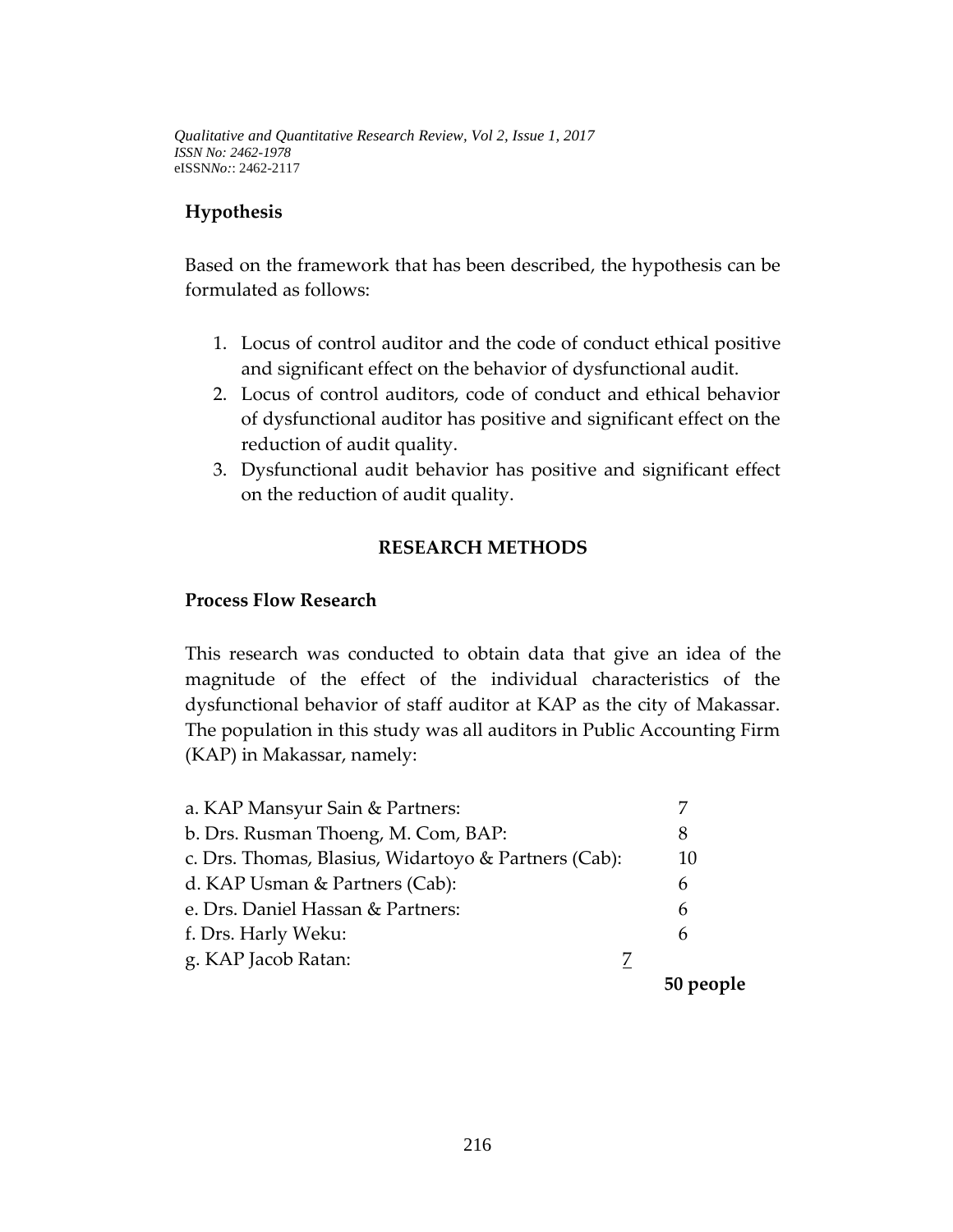## **Hypothesis**

Based on the framework that has been described, the hypothesis can be formulated as follows:

- 1. Locus of control auditor and the code of conduct ethical positive and significant effect on the behavior of dysfunctional audit.
- 2. Locus of control auditors, code of conduct and ethical behavior of dysfunctional auditor has positive and significant effect on the reduction of audit quality.
- 3. Dysfunctional audit behavior has positive and significant effect on the reduction of audit quality.

## **RESEARCH METHODS**

#### **Process Flow Research**

This research was conducted to obtain data that give an idea of the magnitude of the effect of the individual characteristics of the dysfunctional behavior of staff auditor at KAP as the city of Makassar. The population in this study was all auditors in Public Accounting Firm (KAP) in Makassar, namely:

| 10 |
|----|
|    |
|    |
|    |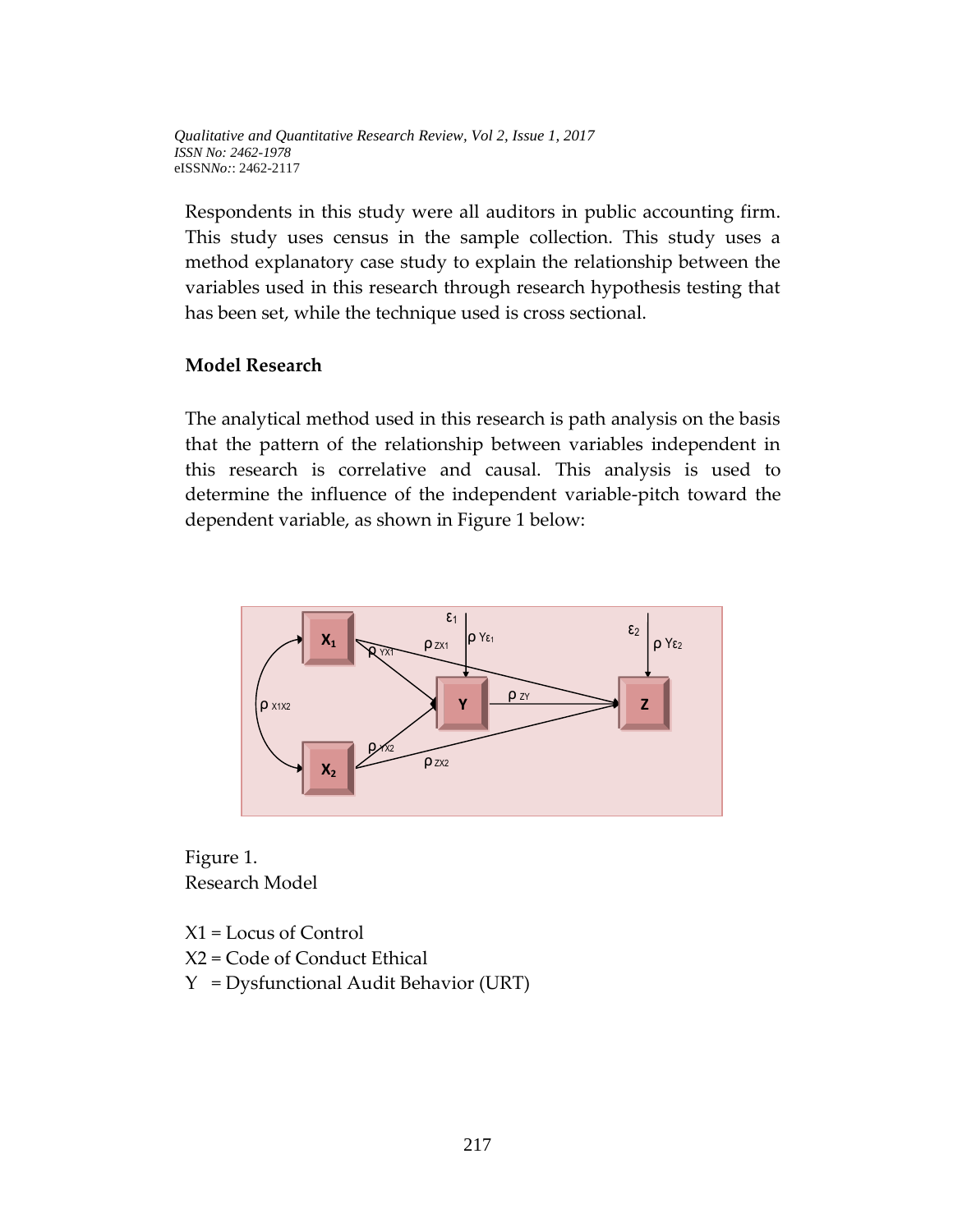Respondents in this study were all auditors in public accounting firm. This study uses census in the sample collection. This study uses a method explanatory case study to explain the relationship between the variables used in this research through research hypothesis testing that has been set, while the technique used is cross sectional.

#### **Model Research**

The analytical method used in this research is path analysis on the basis that the pattern of the relationship between variables independent in this research is correlative and causal. This analysis is used to determine the influence of the independent variable-pitch toward the dependent variable, as shown in Figure 1 below:



Figure 1. Research Model

X1 = Locus of Control X2 = Code of Conduct Ethical Y = Dysfunctional Audit Behavior (URT)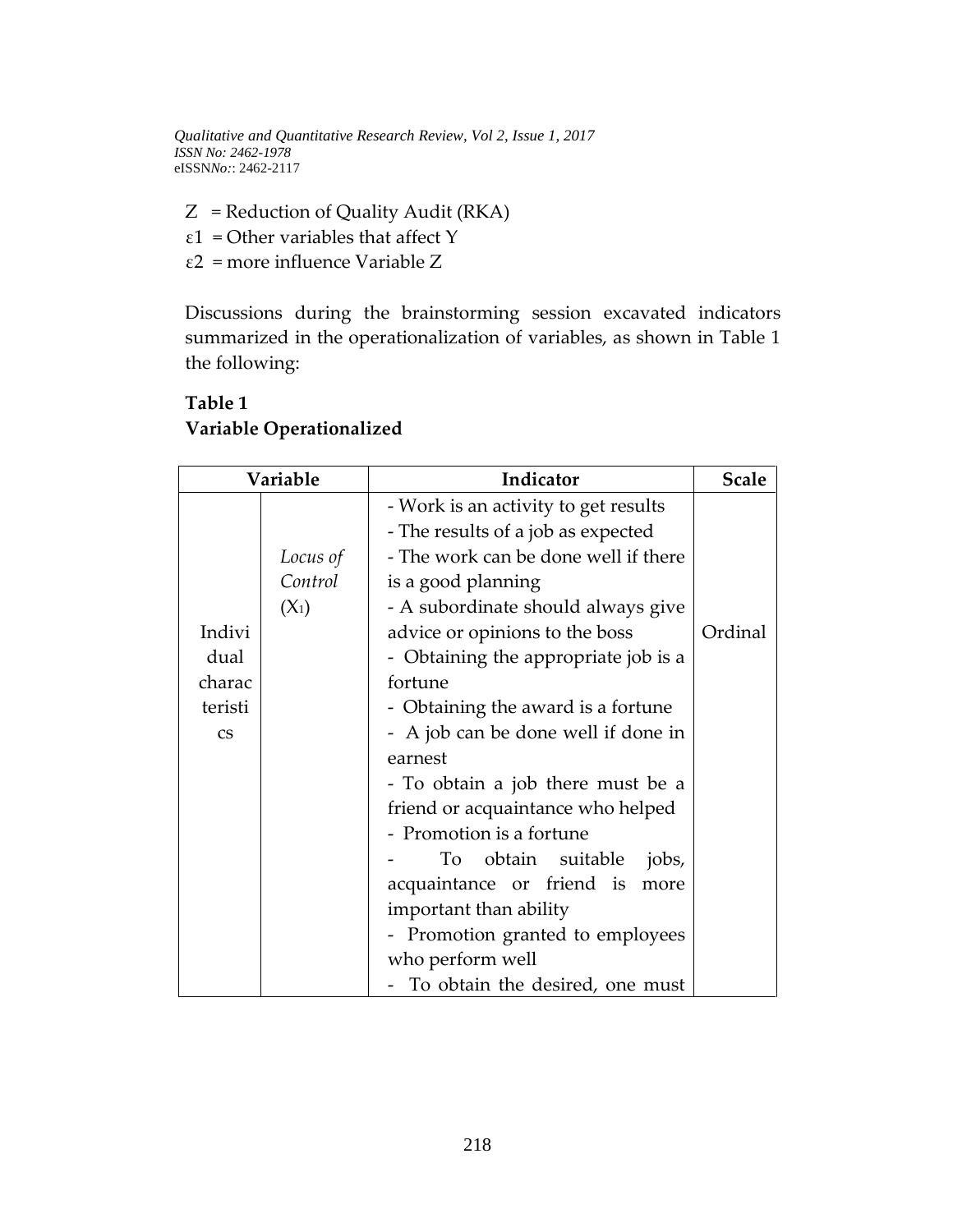$Z$  = Reduction of Quality Audit (RKA) ε1 = Other variables that affect Y ε2 = more influence Variable Z

Discussions during the brainstorming session excavated indicators summarized in the operationalization of variables, as shown in Table 1 the following:

|                        | Variable | Indicator                            | <b>Scale</b> |
|------------------------|----------|--------------------------------------|--------------|
|                        |          | - Work is an activity to get results |              |
|                        |          | - The results of a job as expected   |              |
|                        | Locus of | - The work can be done well if there |              |
|                        | Control  | is a good planning                   |              |
|                        | $(X_1)$  | - A subordinate should always give   |              |
| Indivi                 |          | advice or opinions to the boss       | Ordinal      |
| dual                   |          | - Obtaining the appropriate job is a |              |
| charac                 |          | fortune                              |              |
| teristi                |          | - Obtaining the award is a fortune   |              |
| $\mathbf{C}\mathbf{S}$ |          | - A job can be done well if done in  |              |
|                        |          | earnest                              |              |
|                        |          | - To obtain a job there must be a    |              |
|                        |          | friend or acquaintance who helped    |              |
|                        |          | - Promotion is a fortune             |              |
|                        |          | obtain suitable<br>To<br>jobs,       |              |
|                        |          | acquaintance or friend is<br>more    |              |
|                        |          | important than ability               |              |
|                        |          | - Promotion granted to employees     |              |
|                        |          | who perform well                     |              |
|                        |          | - To obtain the desired, one must    |              |

# **Table 1 Variable Operationalized**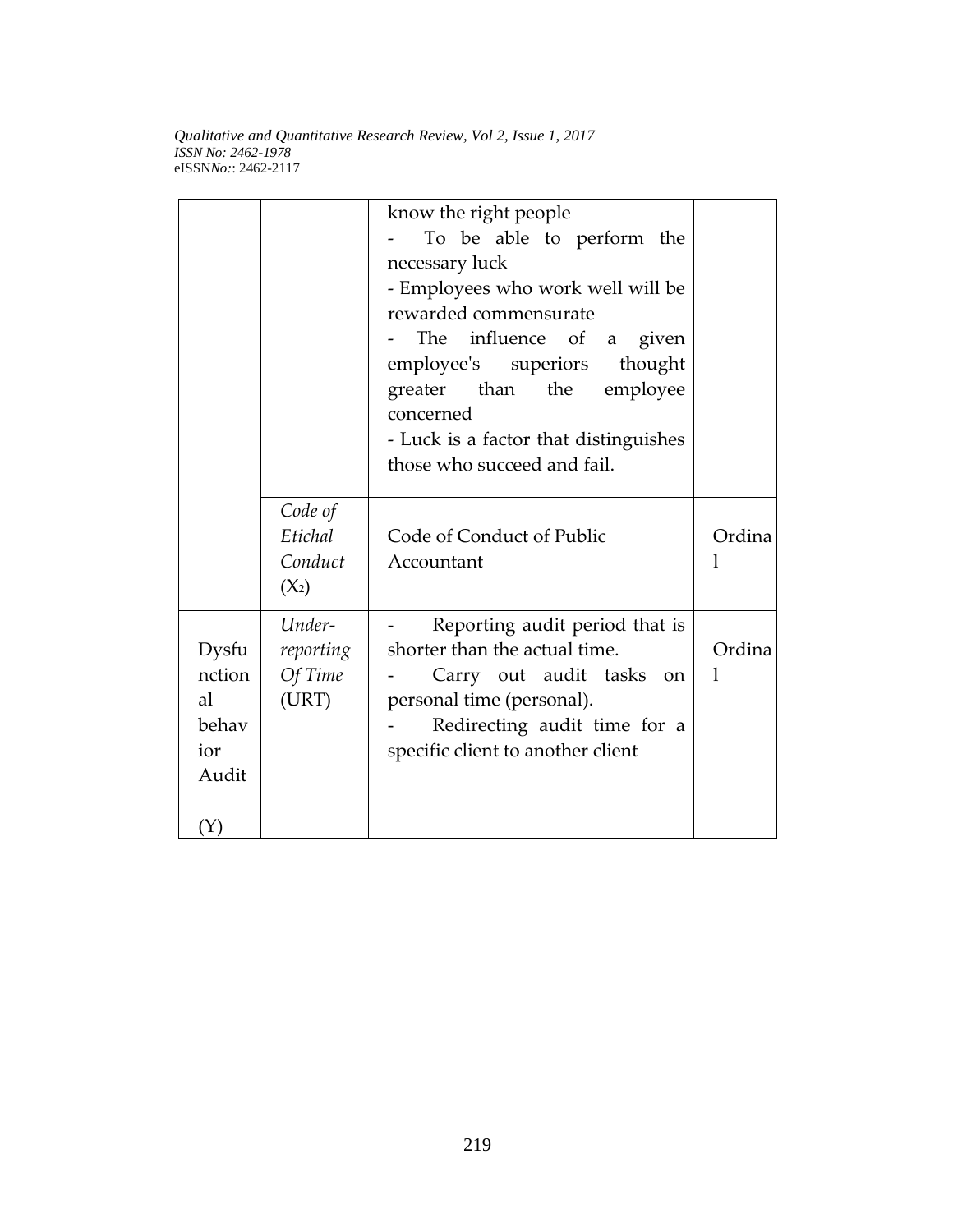|                                                |                                          | know the right people<br>To be able to perform the<br>necessary luck<br>- Employees who work well will be<br>rewarded commensurate<br>The influence of a<br>given<br>employee's superiors<br>thought<br>greater than the employee<br>concerned<br>- Luck is a factor that distinguishes<br>those who succeed and fail. |             |
|------------------------------------------------|------------------------------------------|------------------------------------------------------------------------------------------------------------------------------------------------------------------------------------------------------------------------------------------------------------------------------------------------------------------------|-------------|
|                                                | Code of<br>Etichal<br>Conduct<br>$(X_2)$ | Code of Conduct of Public<br>Accountant                                                                                                                                                                                                                                                                                | Ordina      |
| Dysfu<br>nction<br>al<br>behav<br>ior<br>Audit | Under-<br>reporting<br>Of Time<br>(URT)  | Reporting audit period that is<br>shorter than the actual time.<br>Carry out audit tasks on<br>personal time (personal).<br>Redirecting audit time for a<br>specific client to another client                                                                                                                          | Ordina<br>1 |
| (Y)                                            |                                          |                                                                                                                                                                                                                                                                                                                        |             |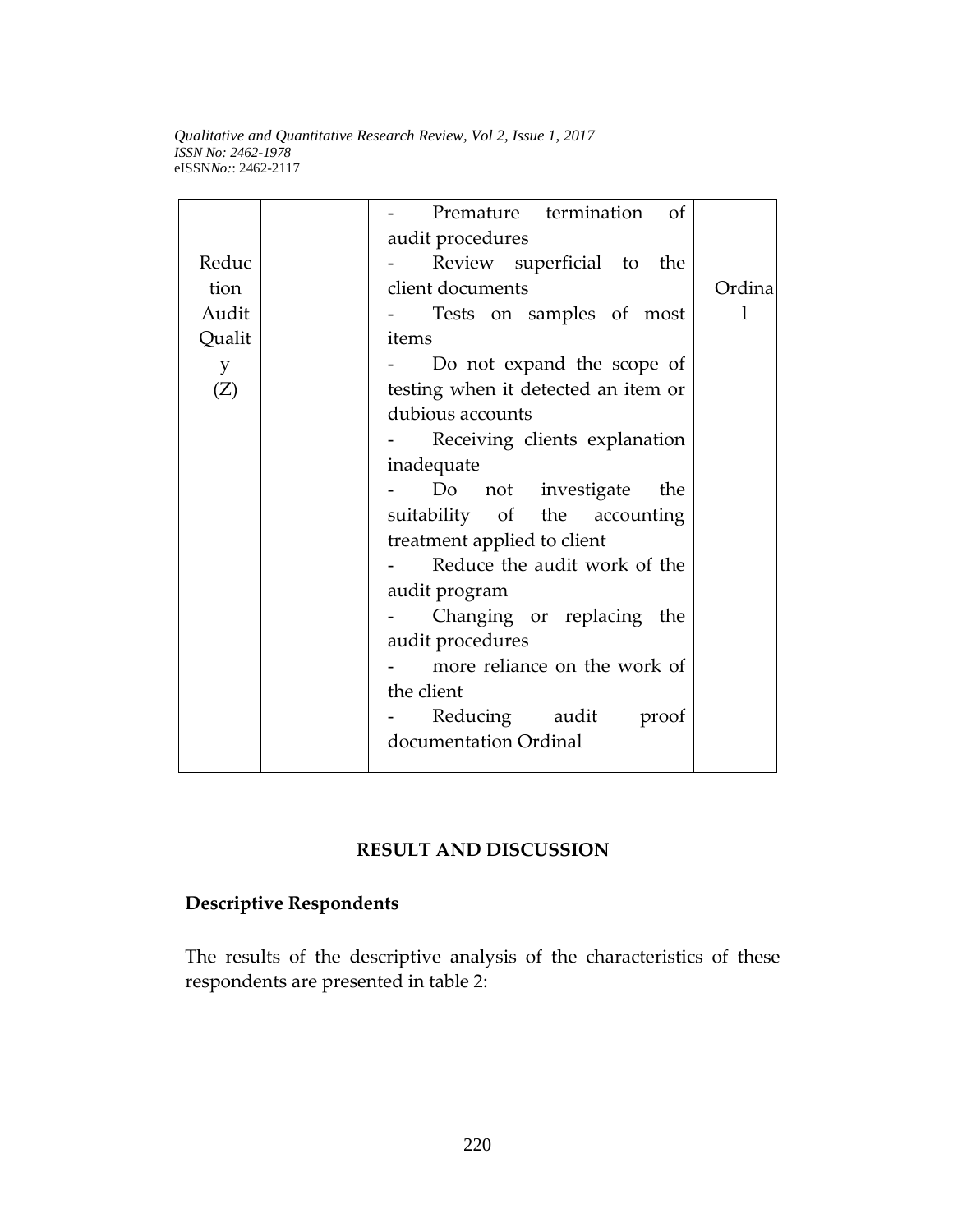|        | Premature termination of            |        |  |  |
|--------|-------------------------------------|--------|--|--|
|        | audit procedures                    |        |  |  |
| Reduc  | Review superficial to the           |        |  |  |
| tion   | client documents                    | Ordina |  |  |
| Audit  | Tests on samples of most            |        |  |  |
| Qualit | items                               |        |  |  |
| y      | Do not expand the scope of          |        |  |  |
| (Z)    | testing when it detected an item or |        |  |  |
|        | dubious accounts                    |        |  |  |
|        | Receiving clients explanation       |        |  |  |
|        | inadequate                          |        |  |  |
|        | Do<br>not investigate<br>the        |        |  |  |
|        | suitability of the accounting       |        |  |  |
|        | treatment applied to client         |        |  |  |
|        | Reduce the audit work of the        |        |  |  |
|        | audit program                       |        |  |  |
|        | Changing or replacing the           |        |  |  |
|        | audit procedures                    |        |  |  |
|        | more reliance on the work of        |        |  |  |
|        | the client                          |        |  |  |
|        | Reducing audit<br>proof             |        |  |  |
|        | documentation Ordinal               |        |  |  |
|        |                                     |        |  |  |

# **RESULT AND DISCUSSION**

# **Descriptive Respondents**

The results of the descriptive analysis of the characteristics of these respondents are presented in table 2: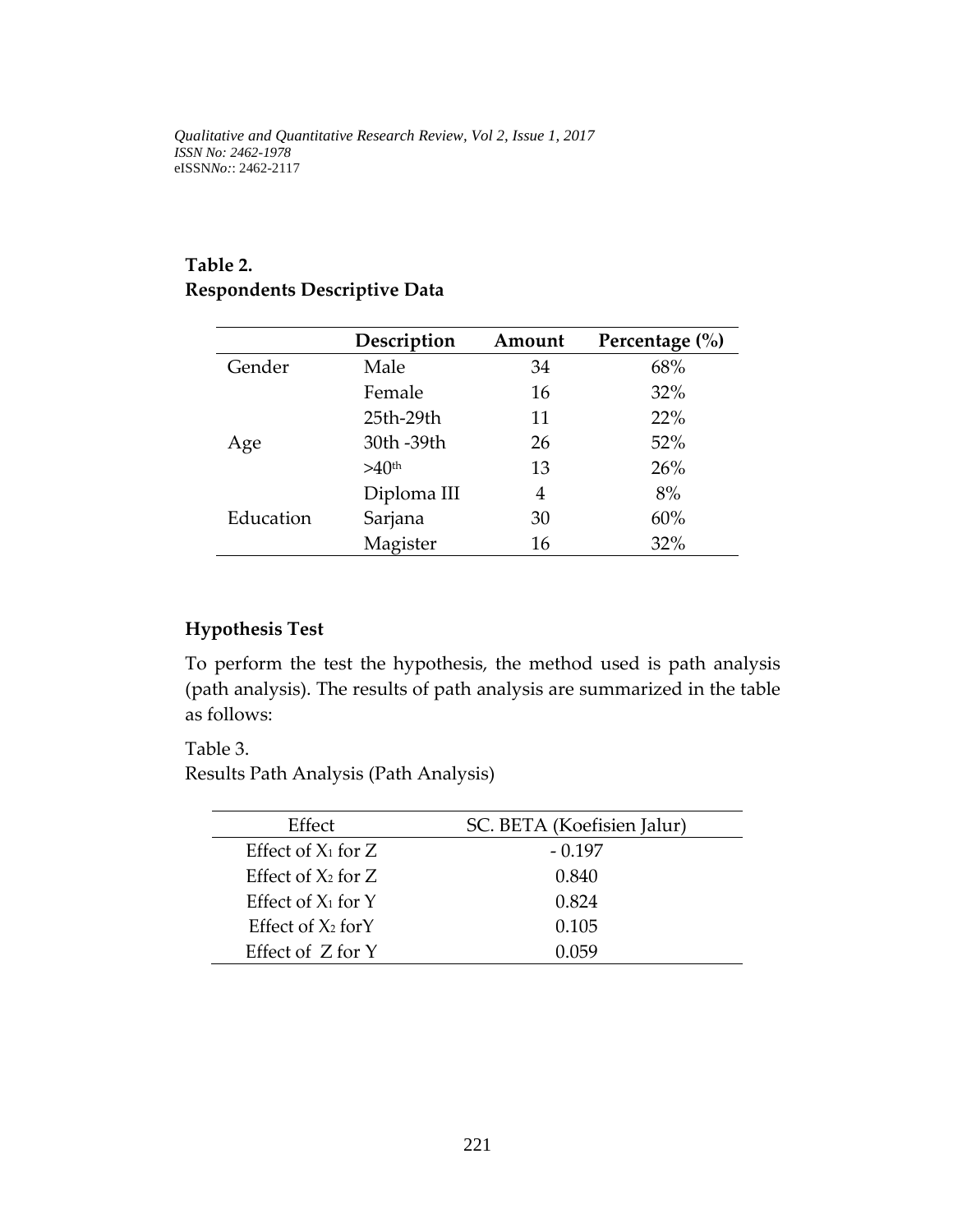# **Table 2. Respondents Descriptive Data**

|           | Description       | Amount | Percentage $(\% )$ |
|-----------|-------------------|--------|--------------------|
| Gender    | Male              | 34     | 68%                |
|           | Female            | 16     | 32%                |
|           | 25th-29th         | 11     | 22%                |
| Age       | 30th -39th        | 26     | 52%                |
|           | >40 <sup>th</sup> | 13     | 26%                |
|           | Diploma III       | 4      | 8%                 |
| Education | Sarjana           | 30     | 60%                |
|           | Magister          | 16     | 32%                |

## **Hypothesis Test**

To perform the test the hypothesis, the method used is path analysis (path analysis). The results of path analysis are summarized in the table as follows:

Table 3.

Results Path Analysis (Path Analysis)

| Effect                  | SC. BETA (Koefisien Jalur) |
|-------------------------|----------------------------|
| Effect of $X_1$ for $Z$ | $-0.197$                   |
| Effect of $X_2$ for Z   | 0.840                      |
| Effect of $X_1$ for Y   | 0.824                      |
| Effect of $X_2$ for Y   | 0.105                      |
| Effect of $Z$ for $Y$   | 11159                      |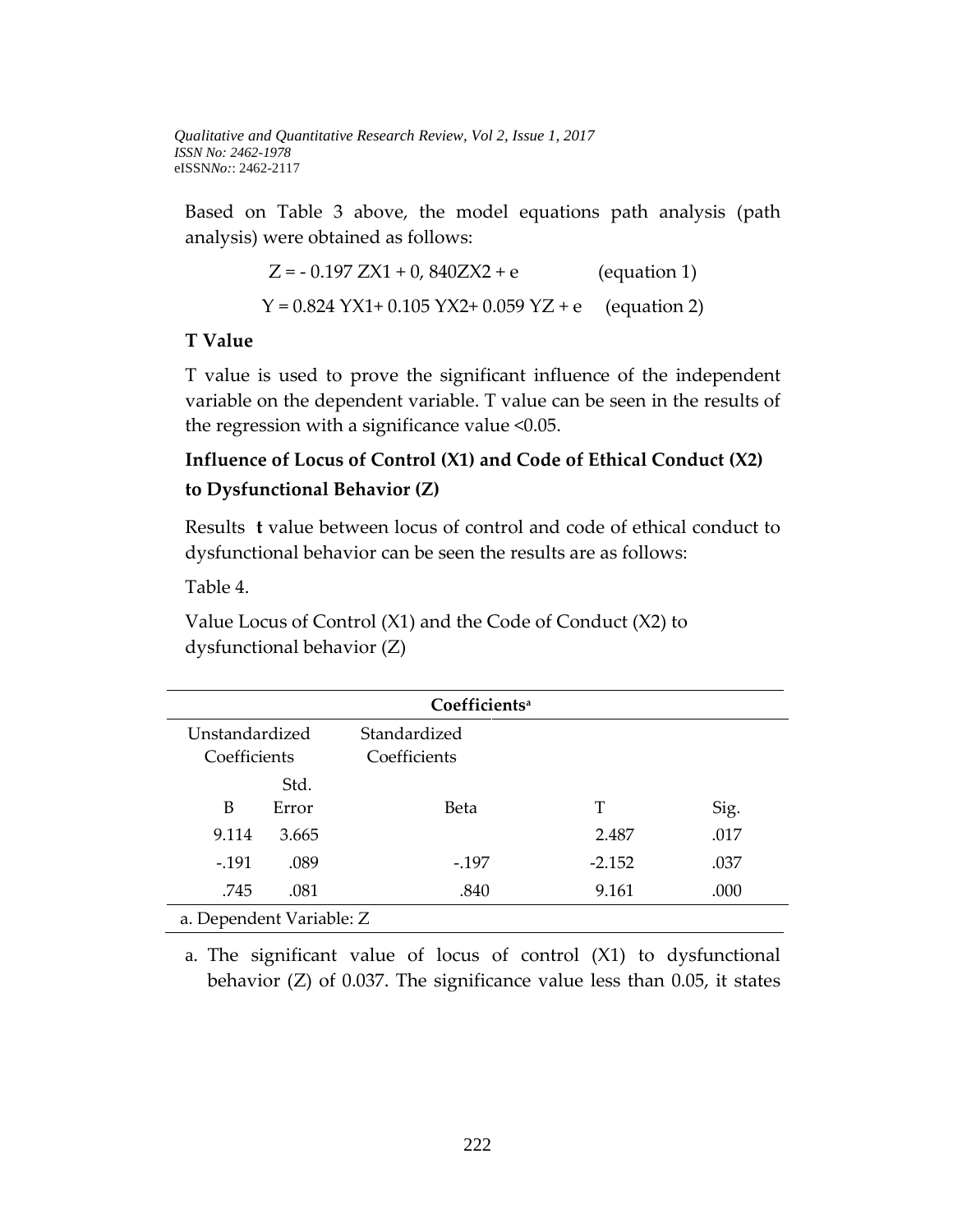Based on Table 3 above, the model equations path analysis (path analysis) were obtained as follows:

$$
Z = -0.197 \, ZX1 + 0,840 ZX2 + e
$$
 (equation 1)  
 
$$
Y = 0.824 \, YX1 + 0.105 \, YX2 + 0.059 \, YZ + e
$$
 (equation 2)

#### **T Value**

T value is used to prove the significant influence of the independent variable on the dependent variable. T value can be seen in the results of the regression with a significance value <0.05.

# **Influence of Locus of Control (X1) and Code of Ethical Conduct (X2) to Dysfunctional Behavior (Z)**

Results **t** value between locus of control and code of ethical conduct to dysfunctional behavior can be seen the results are as follows:

Table 4.

Value Locus of Control (X1) and the Code of Conduct (X2) to dysfunctional behavior (Z)

| Coefficients <sup>a</sup> |       |              |          |      |  |
|---------------------------|-------|--------------|----------|------|--|
| Unstandardized            |       | Standardized |          |      |  |
| Coefficients              |       | Coefficients |          |      |  |
|                           | Std.  |              |          |      |  |
| B                         | Error | Beta         | T        | Sig. |  |
| 9.114                     | 3.665 |              | 2.487    | .017 |  |
| $-.191$                   | .089  | -.197        | $-2.152$ | .037 |  |
| .745                      | .081  | .840         | 9.161    | .000 |  |
| a. Dependent Variable: Z  |       |              |          |      |  |

a. The significant value of locus of control (X1) to dysfunctional behavior (Z) of 0.037. The significance value less than 0.05, it states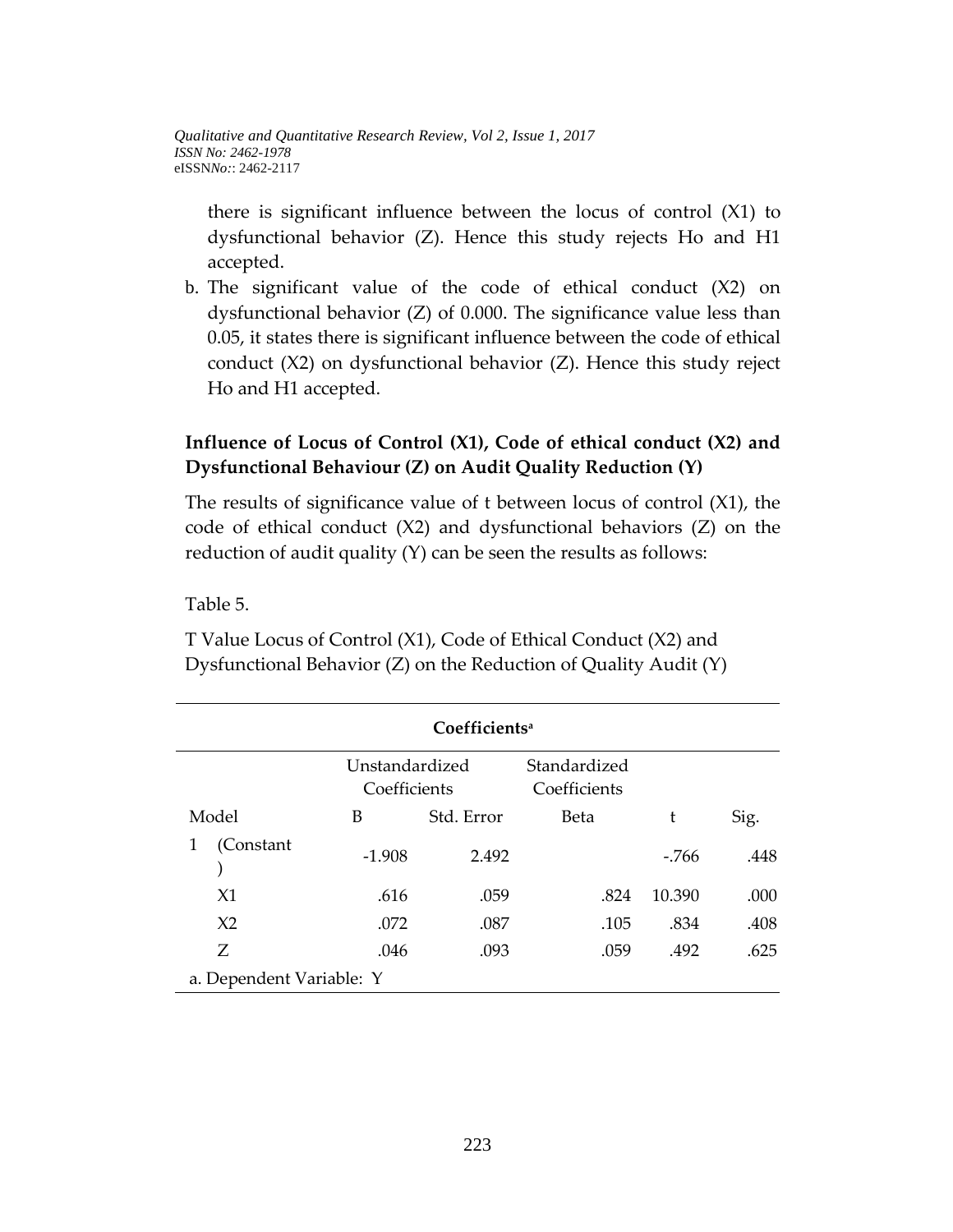there is significant influence between the locus of control (X1) to dysfunctional behavior (Z). Hence this study rejects Ho and H1 accepted.

b. The significant value of the code of ethical conduct (X2) on dysfunctional behavior (Z) of 0.000. The significance value less than 0.05, it states there is significant influence between the code of ethical conduct (X2) on dysfunctional behavior (Z). Hence this study reject Ho and H1 accepted.

# **Influence of Locus of Control (X1), Code of ethical conduct (X2) and Dysfunctional Behaviour (Z) on Audit Quality Reduction (Y)**

The results of significance value of t between locus of control (X1), the code of ethical conduct (X2) and dysfunctional behaviors (Z) on the reduction of audit quality (Y) can be seen the results as follows:

### Table 5.

T Value Locus of Control (X1), Code of Ethical Conduct (X2) and Dysfunctional Behavior (Z) on the Reduction of Quality Audit (Y)

| Coefficients <sup>a</sup> |                                |            |                              |        |      |
|---------------------------|--------------------------------|------------|------------------------------|--------|------|
|                           | Unstandardized<br>Coefficients |            | Standardized<br>Coefficients |        |      |
| Model                     | В                              | Std. Error | Beta                         | t      | Sig. |
| (Constant                 | $-1.908$                       | 2.492      |                              | -.766  | .448 |
| X1                        | .616                           | .059       | .824                         | 10.390 | .000 |
| X <sub>2</sub>            | .072                           | .087       | .105                         | .834   | .408 |
| Ζ                         | .046                           | .093       | .059                         | .492   | .625 |
| a. Dependent Variable: Y  |                                |            |                              |        |      |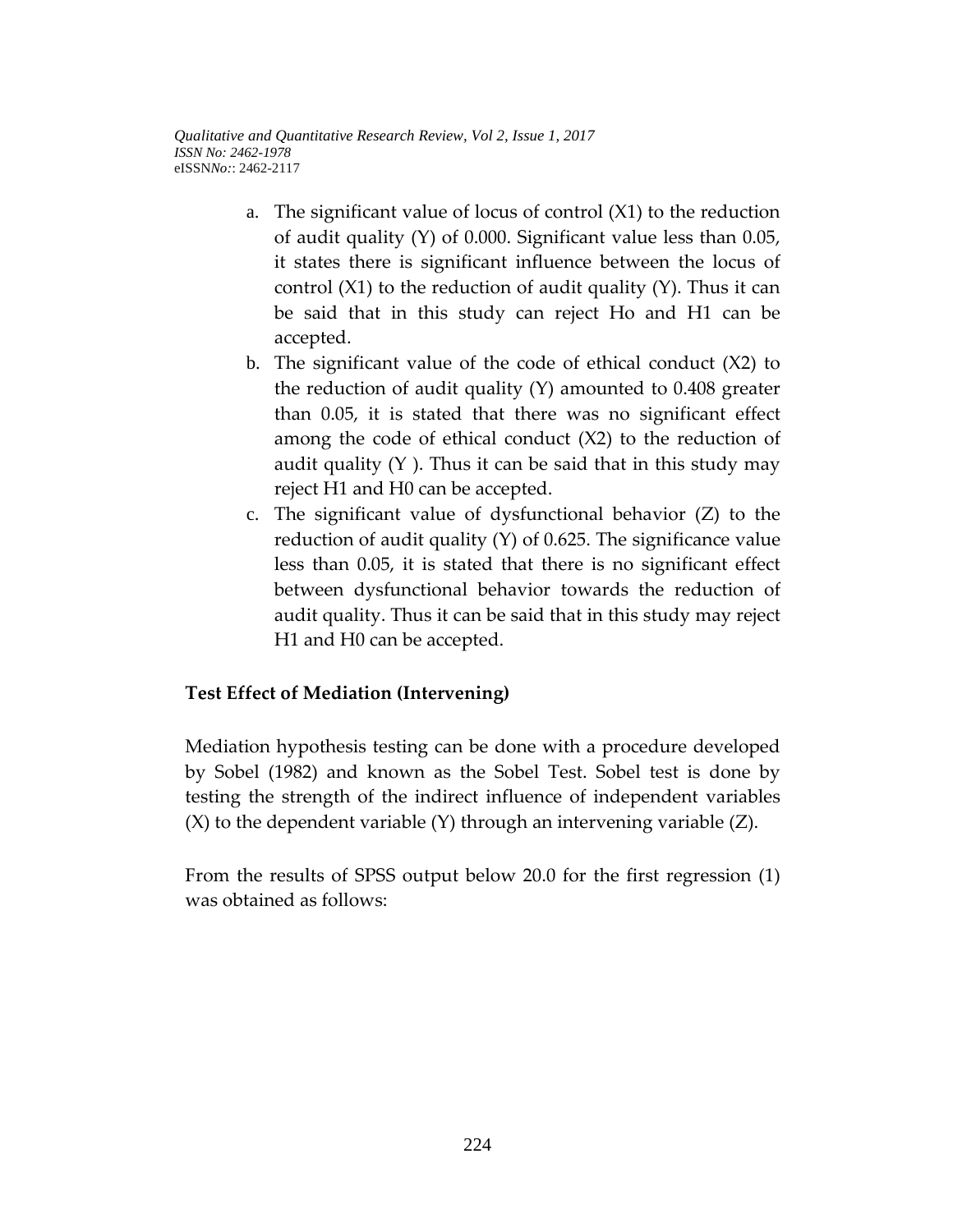- a. The significant value of locus of control (X1) to the reduction of audit quality (Y) of 0.000. Significant value less than 0.05, it states there is significant influence between the locus of control  $(X1)$  to the reduction of audit quality  $(Y)$ . Thus it can be said that in this study can reject Ho and H1 can be accepted.
- b. The significant value of the code of ethical conduct (X2) to the reduction of audit quality (Y) amounted to 0.408 greater than 0.05, it is stated that there was no significant effect among the code of ethical conduct (X2) to the reduction of audit quality  $(Y)$ . Thus it can be said that in this study may reject H1 and H0 can be accepted.
- c. The significant value of dysfunctional behavior (Z) to the reduction of audit quality (Y) of 0.625. The significance value less than 0.05, it is stated that there is no significant effect between dysfunctional behavior towards the reduction of audit quality. Thus it can be said that in this study may reject H1 and H0 can be accepted.

### **Test Effect of Mediation (Intervening)**

Mediation hypothesis testing can be done with a procedure developed by Sobel (1982) and known as the Sobel Test. Sobel test is done by testing the strength of the indirect influence of independent variables (X) to the dependent variable (Y) through an intervening variable (Z).

From the results of SPSS output below 20.0 for the first regression (1) was obtained as follows: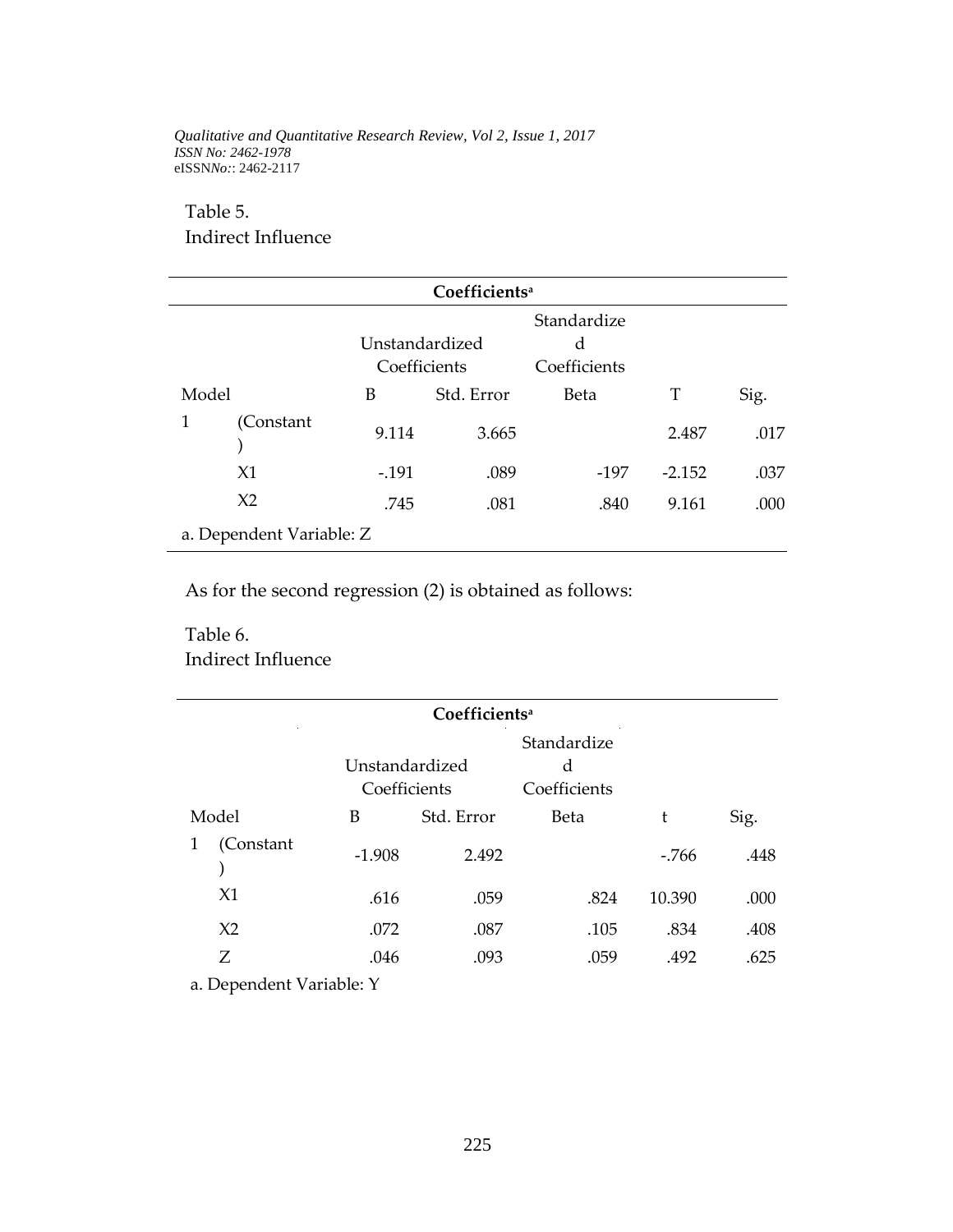#### Table 5.

Indirect Influence

|       | Coefficients <sup>a</sup>                                          |         |            |      |          |      |
|-------|--------------------------------------------------------------------|---------|------------|------|----------|------|
|       | Standardize<br>Unstandardized<br>d<br>Coefficients<br>Coefficients |         |            |      |          |      |
| Model |                                                                    | B       | Std. Error | Beta | T        | Sig. |
| 1     | (Constant                                                          | 9.114   | 3.665      |      | 2.487    | .017 |
|       | X1                                                                 | $-.191$ | .089       | -197 | $-2.152$ | .037 |
|       | X <sub>2</sub>                                                     | .745    | .081       | .840 | 9.161    | .000 |
|       | a. Dependent Variable: Z                                           |         |            |      |          |      |

As for the second regression (2) is obtained as follows:

# Table 6. Indirect Influence

| Coefficients <sup>a</sup> |                |            |              |        |      |
|---------------------------|----------------|------------|--------------|--------|------|
|                           |                |            | Standardize  |        |      |
|                           | Unstandardized |            | d            |        |      |
|                           | Coefficients   |            | Coefficients |        |      |
| Model                     | B              | Std. Error | Beta         | t      | Sig. |
| 1<br>(Constant            | $-1.908$       | 2.492      |              | $-766$ | .448 |
| X1                        | .616           | .059       | .824         | 10.390 | .000 |
| X <sub>2</sub>            | .072           | .087       | .105         | .834   | .408 |
| Ζ                         | .046           | .093       | .059         | .492   | .625 |

a. Dependent Variable: Y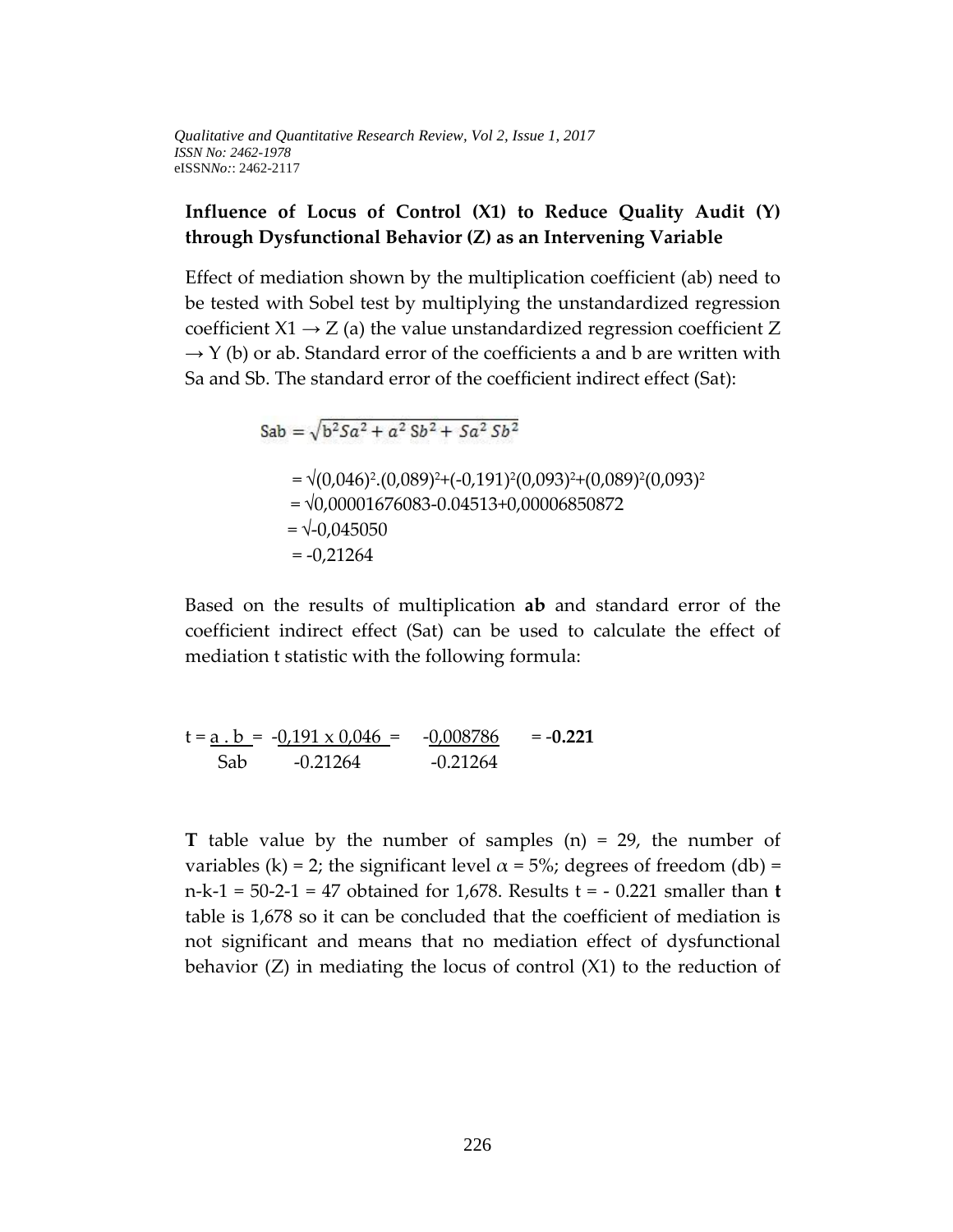### **Influence of Locus of Control (X1) to Reduce Quality Audit (Y) through Dysfunctional Behavior (Z) as an Intervening Variable**

Effect of mediation shown by the multiplication coefficient (ab) need to be tested with Sobel test by multiplying the unstandardized regression coefficient  $X1 \rightarrow Z$  (a) the value unstandardized regression coefficient Z  $\rightarrow$  Y (b) or ab. Standard error of the coefficients a and b are written with Sa and Sb. The standard error of the coefficient indirect effect (Sat):

$$
Sab = \sqrt{b^2 Sa^2 + a^2 Sb^2 + Sa^2 Sb^2}
$$
  
=  $\sqrt{(0,046)^2 \cdot (0,089)^2 + (-0,191)^2 (0,093)^2 + (0,089)^2 (0,093)^2}$   
=  $\sqrt{0,00001676083 - 0.04513 + 0,00006850872}$   
=  $\sqrt{-0,045050}$   
= -0,21264

Based on the results of multiplication **ab** and standard error of the coefficient indirect effect (Sat) can be used to calculate the effect of mediation t statistic with the following formula:

$$
t = \underline{a \cdot b} = -0.191 \times 0.046 = -0.008786 = -0.221
$$
  
Sab 0.21264 -0.21264 = -0.2026

**T** table value by the number of samples (n) = 29, the number of variables (k) = 2; the significant level  $\alpha$  = 5%; degrees of freedom (db) = n-k-1 = 50-2-1 = 47 obtained for 1,678. Results t = - 0.221 smaller than **t** table is 1,678 so it can be concluded that the coefficient of mediation is not significant and means that no mediation effect of dysfunctional behavior  $(Z)$  in mediating the locus of control  $(X1)$  to the reduction of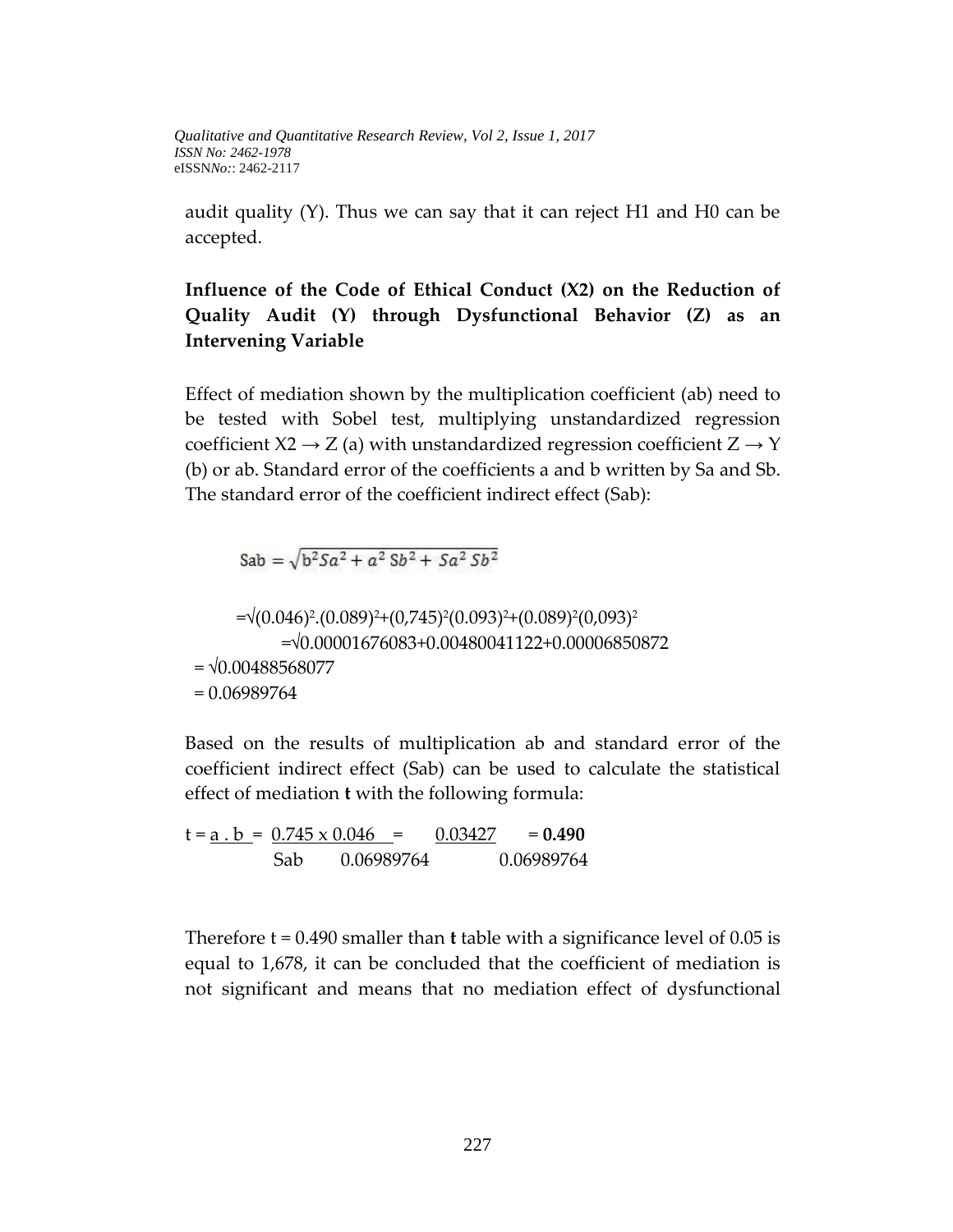audit quality (Y). Thus we can say that it can reject H1 and H0 can be accepted.

# **Influence of the Code of Ethical Conduct (X2) on the Reduction of Quality Audit (Y) through Dysfunctional Behavior (Z) as an Intervening Variable**

Effect of mediation shown by the multiplication coefficient (ab) need to be tested with Sobel test, multiplying unstandardized regression coefficient  $X2 \rightarrow Z$  (a) with unstandardized regression coefficient  $Z \rightarrow Y$ (b) or ab. Standard error of the coefficients a and b written by Sa and Sb. The standard error of the coefficient indirect effect (Sab):

Sab =  $\sqrt{b^2 5a^2 + a^2 5b^2 + 5a^2 5b^2}$ 

=√(0.046)<sup>2</sup>.(0.089)<sup>2</sup>+(0,745)<sup>2</sup>(0.093)<sup>2</sup>+(0.089)<sup>2</sup>(0,093)<sup>2</sup> =√0.00001676083+0.00480041122+0.00006850872  $= \sqrt{0.00488568077}$ = 0.06989764

Based on the results of multiplication ab and standard error of the coefficient indirect effect (Sab) can be used to calculate the statistical effect of mediation **t** with the following formula:

 $t = a$ .  $b = 0.745 \times 0.046 = 0.03427 = 0.490$ Sab 0.06989764 0.06989764

Therefore t = 0.490 smaller than **t** table with a significance level of 0.05 is equal to 1,678, it can be concluded that the coefficient of mediation is not significant and means that no mediation effect of dysfunctional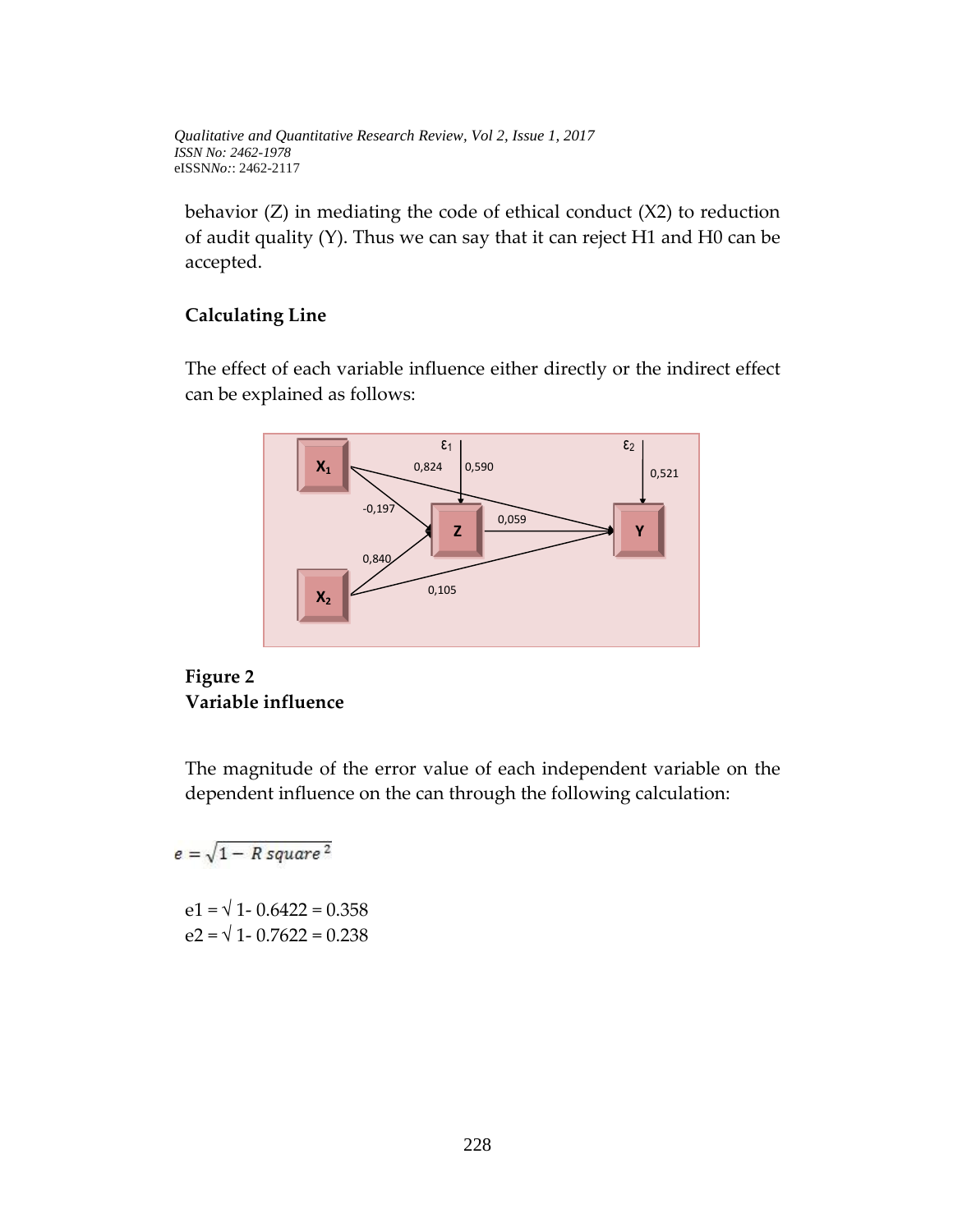behavior (Z) in mediating the code of ethical conduct (X2) to reduction of audit quality (Y). Thus we can say that it can reject H1 and H0 can be accepted.

## **Calculating Line**

The effect of each variable influence either directly or the indirect effect can be explained as follows:



## **Figure 2 Variable influence**

The magnitude of the error value of each independent variable on the dependent influence on the can through the following calculation:

 $e = \sqrt{1 - R \, square^2}$  $e1 = \sqrt{1 - 0.6422} = 0.358$  $e2 = \sqrt{1 - 0.7622} = 0.238$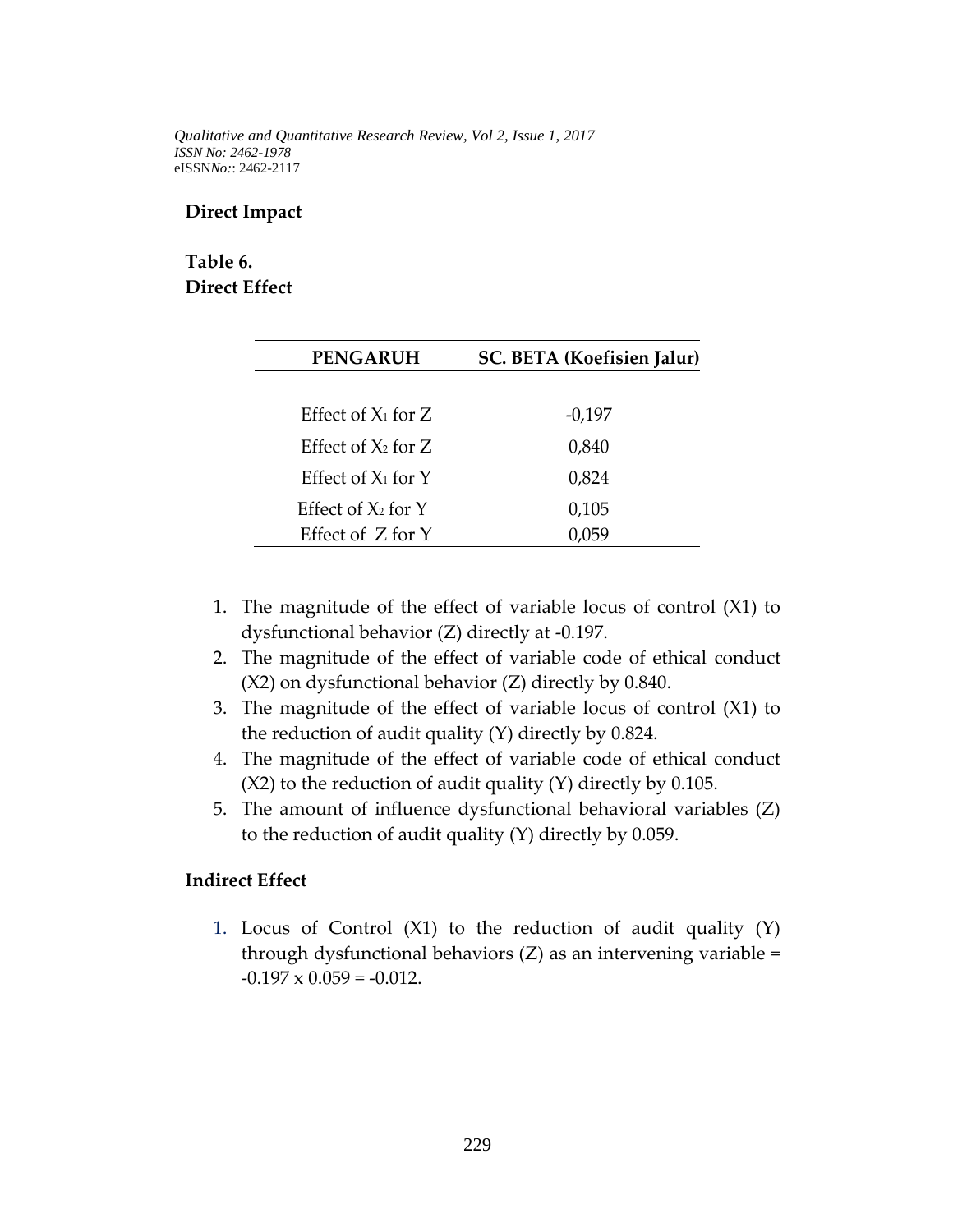#### **Direct Impact**

# **Table 6. Direct Effect**

| <b>PENGARUH</b>         | SC. BETA (Koefisien Jalur) |
|-------------------------|----------------------------|
|                         |                            |
| Effect of $X_1$ for Z   | $-0,197$                   |
| Effect of $X_2$ for Z   | 0,840                      |
| Effect of $X_1$ for $Y$ | 0,824                      |
| Effect of $X_2$ for $Y$ | 0,105                      |
| Effect of Z for Y       |                            |

- 1. The magnitude of the effect of variable locus of control (X1) to dysfunctional behavior (Z) directly at -0.197.
- 2. The magnitude of the effect of variable code of ethical conduct (X2) on dysfunctional behavior (Z) directly by 0.840.
- 3. The magnitude of the effect of variable locus of control (X1) to the reduction of audit quality (Y) directly by 0.824.
- 4. The magnitude of the effect of variable code of ethical conduct  $(X2)$  to the reduction of audit quality  $(Y)$  directly by 0.105.
- 5. The amount of influence dysfunctional behavioral variables (Z) to the reduction of audit quality (Y) directly by 0.059.

#### **Indirect Effect**

1. Locus of Control (X1) to the reduction of audit quality (Y) through dysfunctional behaviors (Z) as an intervening variable =  $-0.197 \times 0.059 = -0.012$ .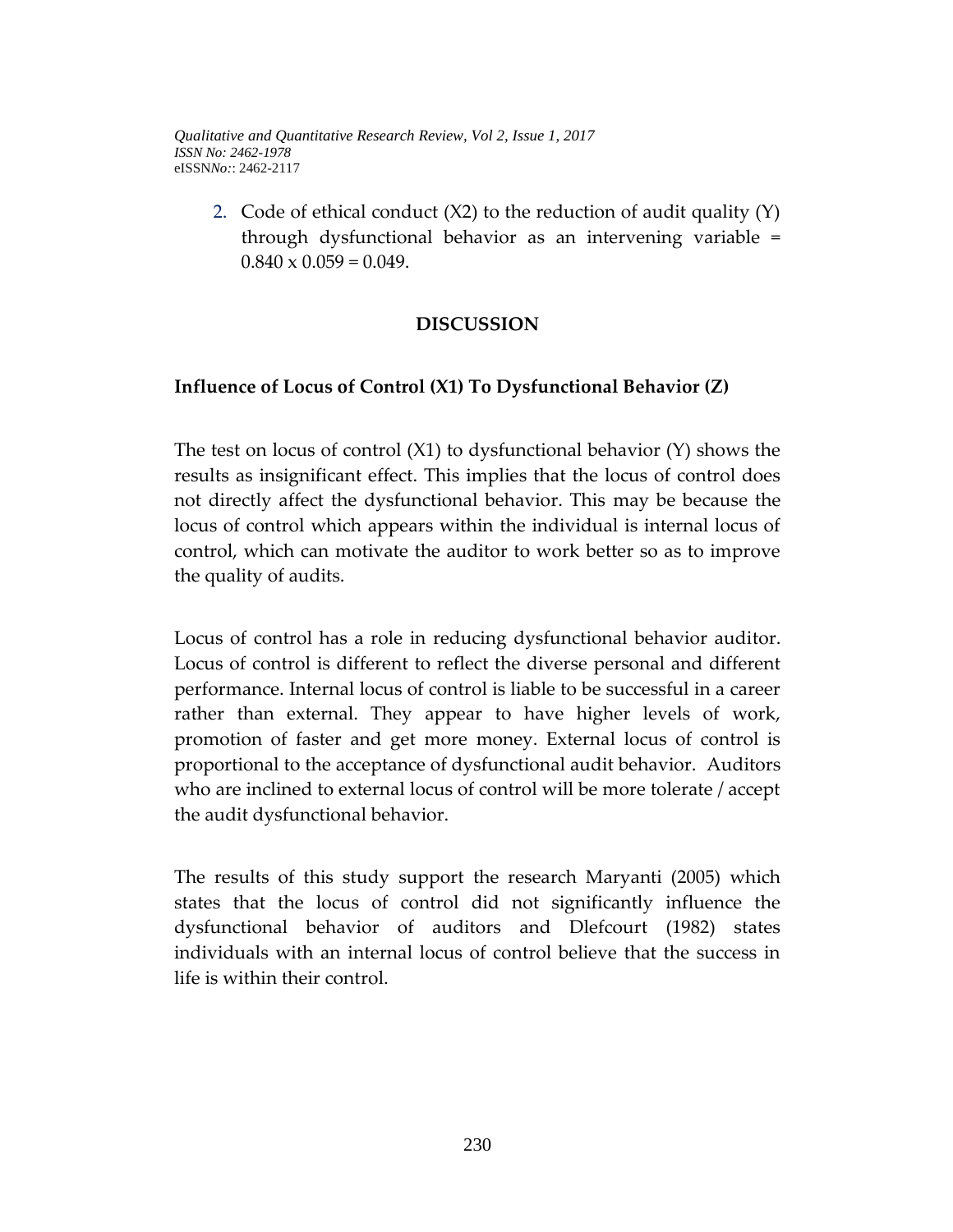2. Code of ethical conduct  $(X2)$  to the reduction of audit quality  $(Y)$ through dysfunctional behavior as an intervening variable =  $0.840 \times 0.059 = 0.049$ .

## **DISCUSSION**

## **Influence of Locus of Control (X1) To Dysfunctional Behavior (Z)**

The test on locus of control (X1) to dysfunctional behavior (Y) shows the results as insignificant effect. This implies that the locus of control does not directly affect the dysfunctional behavior. This may be because the locus of control which appears within the individual is internal locus of control, which can motivate the auditor to work better so as to improve the quality of audits.

Locus of control has a role in reducing dysfunctional behavior auditor. Locus of control is different to reflect the diverse personal and different performance. Internal locus of control is liable to be successful in a career rather than external. They appear to have higher levels of work, promotion of faster and get more money. External locus of control is proportional to the acceptance of dysfunctional audit behavior. Auditors who are inclined to external locus of control will be more tolerate / accept the audit dysfunctional behavior.

The results of this study support the research Maryanti (2005) which states that the locus of control did not significantly influence the dysfunctional behavior of auditors and Dlefcourt (1982) states individuals with an internal locus of control believe that the success in life is within their control.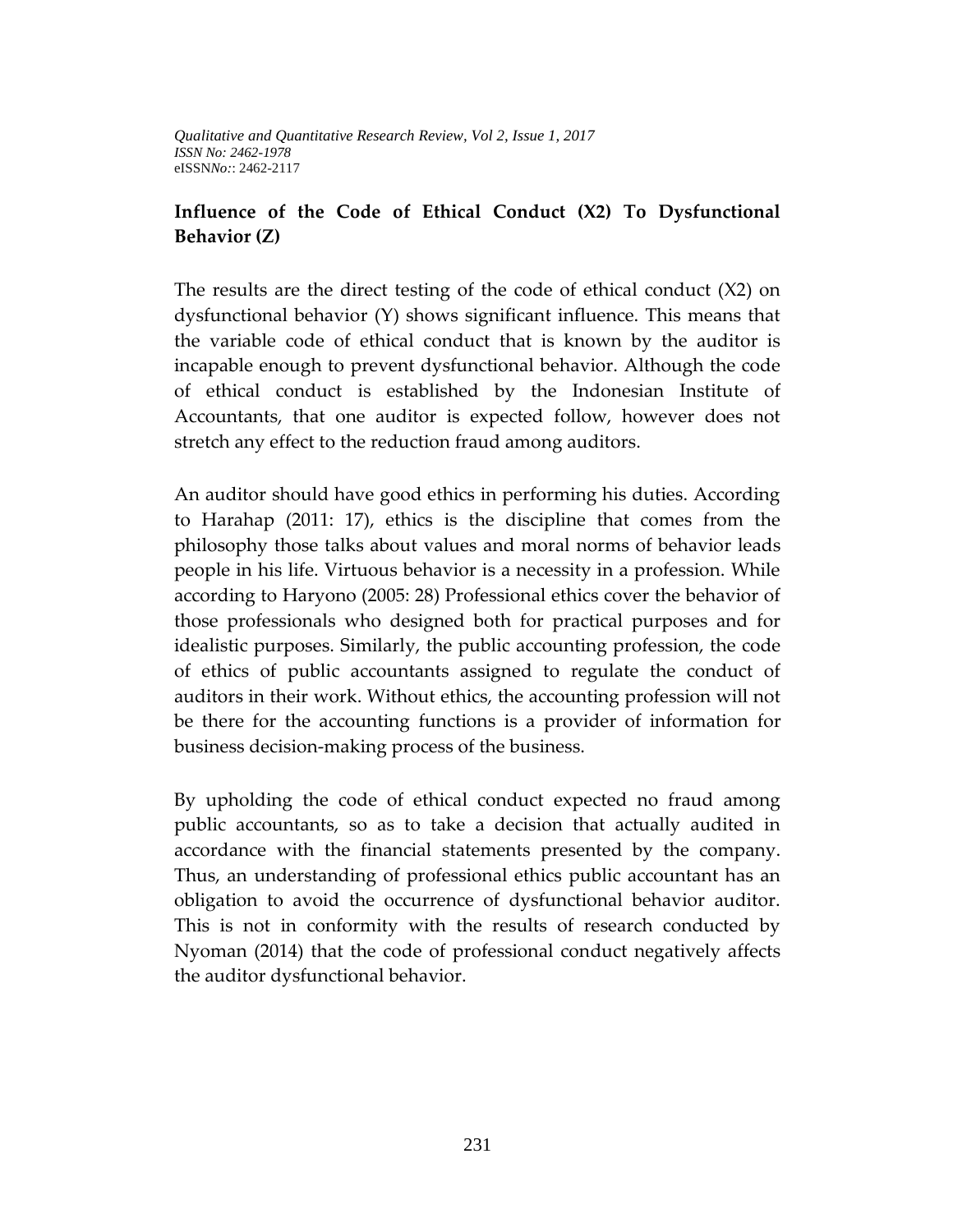### **Influence of the Code of Ethical Conduct (X2) To Dysfunctional Behavior (Z)**

The results are the direct testing of the code of ethical conduct (X2) on dysfunctional behavior (Y) shows significant influence. This means that the variable code of ethical conduct that is known by the auditor is incapable enough to prevent dysfunctional behavior. Although the code of ethical conduct is established by the Indonesian Institute of Accountants, that one auditor is expected follow, however does not stretch any effect to the reduction fraud among auditors.

An auditor should have good ethics in performing his duties. According to Harahap (2011: 17), ethics is the discipline that comes from the philosophy those talks about values and moral norms of behavior leads people in his life. Virtuous behavior is a necessity in a profession. While according to Haryono (2005: 28) Professional ethics cover the behavior of those professionals who designed both for practical purposes and for idealistic purposes. Similarly, the public accounting profession, the code of ethics of public accountants assigned to regulate the conduct of auditors in their work. Without ethics, the accounting profession will not be there for the accounting functions is a provider of information for business decision-making process of the business.

By upholding the code of ethical conduct expected no fraud among public accountants, so as to take a decision that actually audited in accordance with the financial statements presented by the company. Thus, an understanding of professional ethics public accountant has an obligation to avoid the occurrence of dysfunctional behavior auditor. This is not in conformity with the results of research conducted by Nyoman (2014) that the code of professional conduct negatively affects the auditor dysfunctional behavior.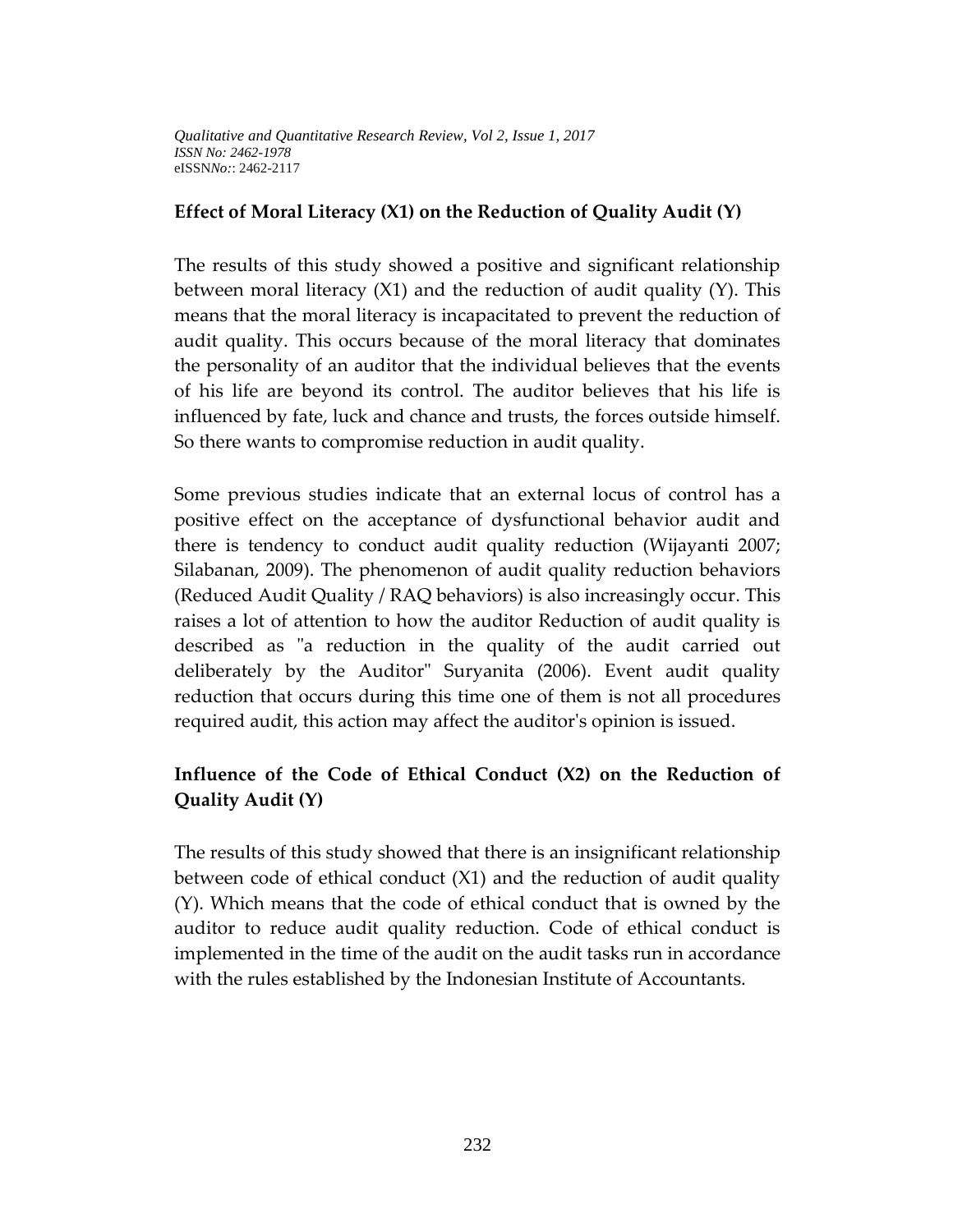#### **Effect of Moral Literacy (X1) on the Reduction of Quality Audit (Y)**

The results of this study showed a positive and significant relationship between moral literacy (X1) and the reduction of audit quality (Y). This means that the moral literacy is incapacitated to prevent the reduction of audit quality. This occurs because of the moral literacy that dominates the personality of an auditor that the individual believes that the events of his life are beyond its control. The auditor believes that his life is influenced by fate, luck and chance and trusts, the forces outside himself. So there wants to compromise reduction in audit quality.

Some previous studies indicate that an external locus of control has a positive effect on the acceptance of dysfunctional behavior audit and there is tendency to conduct audit quality reduction (Wijayanti 2007; Silabanan, 2009). The phenomenon of audit quality reduction behaviors (Reduced Audit Quality / RAQ behaviors) is also increasingly occur. This raises a lot of attention to how the auditor Reduction of audit quality is described as "a reduction in the quality of the audit carried out deliberately by the Auditor" Suryanita (2006). Event audit quality reduction that occurs during this time one of them is not all procedures required audit, this action may affect the auditor's opinion is issued.

# **Influence of the Code of Ethical Conduct (X2) on the Reduction of Quality Audit (Y)**

The results of this study showed that there is an insignificant relationship between code of ethical conduct (X1) and the reduction of audit quality (Y). Which means that the code of ethical conduct that is owned by the auditor to reduce audit quality reduction. Code of ethical conduct is implemented in the time of the audit on the audit tasks run in accordance with the rules established by the Indonesian Institute of Accountants.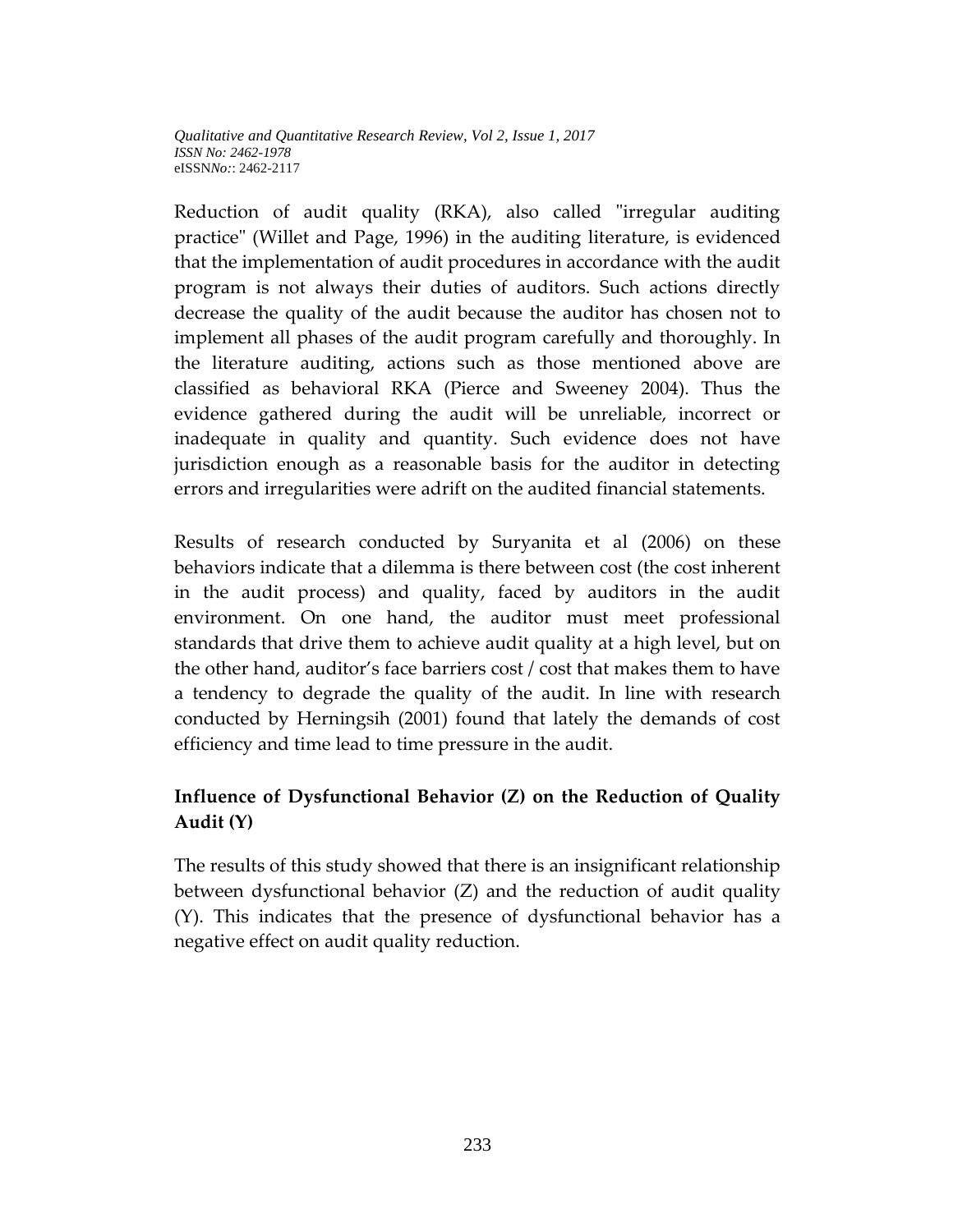Reduction of audit quality (RKA), also called "irregular auditing practice" (Willet and Page, 1996) in the auditing literature, is evidenced that the implementation of audit procedures in accordance with the audit program is not always their duties of auditors. Such actions directly decrease the quality of the audit because the auditor has chosen not to implement all phases of the audit program carefully and thoroughly. In the literature auditing, actions such as those mentioned above are classified as behavioral RKA (Pierce and Sweeney 2004). Thus the evidence gathered during the audit will be unreliable, incorrect or inadequate in quality and quantity. Such evidence does not have jurisdiction enough as a reasonable basis for the auditor in detecting errors and irregularities were adrift on the audited financial statements.

Results of research conducted by Suryanita et al (2006) on these behaviors indicate that a dilemma is there between cost (the cost inherent in the audit process) and quality, faced by auditors in the audit environment. On one hand, the auditor must meet professional standards that drive them to achieve audit quality at a high level, but on the other hand, auditor's face barriers cost / cost that makes them to have a tendency to degrade the quality of the audit. In line with research conducted by Herningsih (2001) found that lately the demands of cost efficiency and time lead to time pressure in the audit.

# **Influence of Dysfunctional Behavior (Z) on the Reduction of Quality Audit (Y)**

The results of this study showed that there is an insignificant relationship between dysfunctional behavior (Z) and the reduction of audit quality (Y). This indicates that the presence of dysfunctional behavior has a negative effect on audit quality reduction.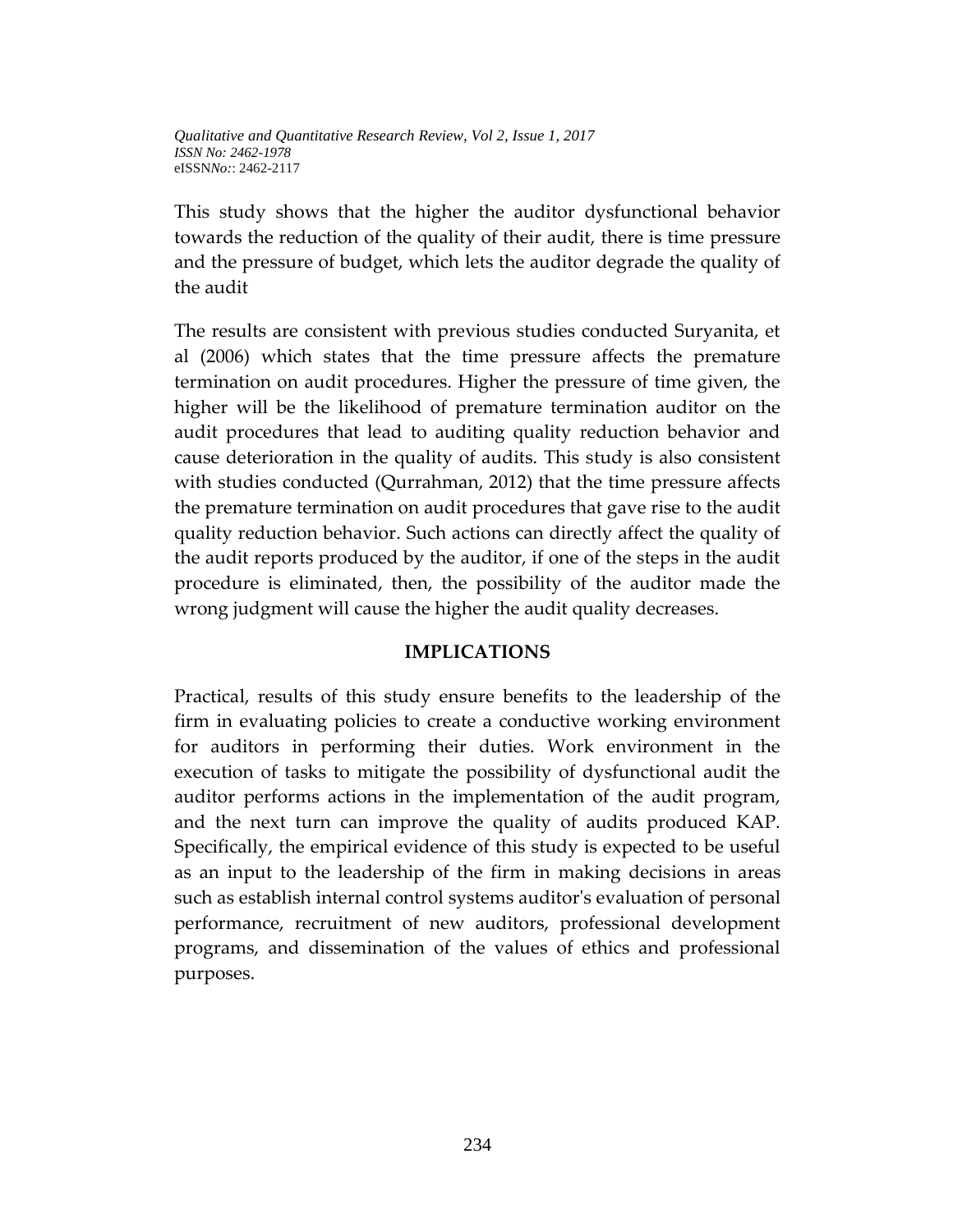This study shows that the higher the auditor dysfunctional behavior towards the reduction of the quality of their audit, there is time pressure and the pressure of budget, which lets the auditor degrade the quality of the audit

The results are consistent with previous studies conducted Suryanita, et al (2006) which states that the time pressure affects the premature termination on audit procedures. Higher the pressure of time given, the higher will be the likelihood of premature termination auditor on the audit procedures that lead to auditing quality reduction behavior and cause deterioration in the quality of audits. This study is also consistent with studies conducted (Qurrahman, 2012) that the time pressure affects the premature termination on audit procedures that gave rise to the audit quality reduction behavior. Such actions can directly affect the quality of the audit reports produced by the auditor, if one of the steps in the audit procedure is eliminated, then, the possibility of the auditor made the wrong judgment will cause the higher the audit quality decreases.

#### **IMPLICATIONS**

Practical, results of this study ensure benefits to the leadership of the firm in evaluating policies to create a conductive working environment for auditors in performing their duties. Work environment in the execution of tasks to mitigate the possibility of dysfunctional audit the auditor performs actions in the implementation of the audit program, and the next turn can improve the quality of audits produced KAP. Specifically, the empirical evidence of this study is expected to be useful as an input to the leadership of the firm in making decisions in areas such as establish internal control systems auditor's evaluation of personal performance, recruitment of new auditors, professional development programs, and dissemination of the values of ethics and professional purposes.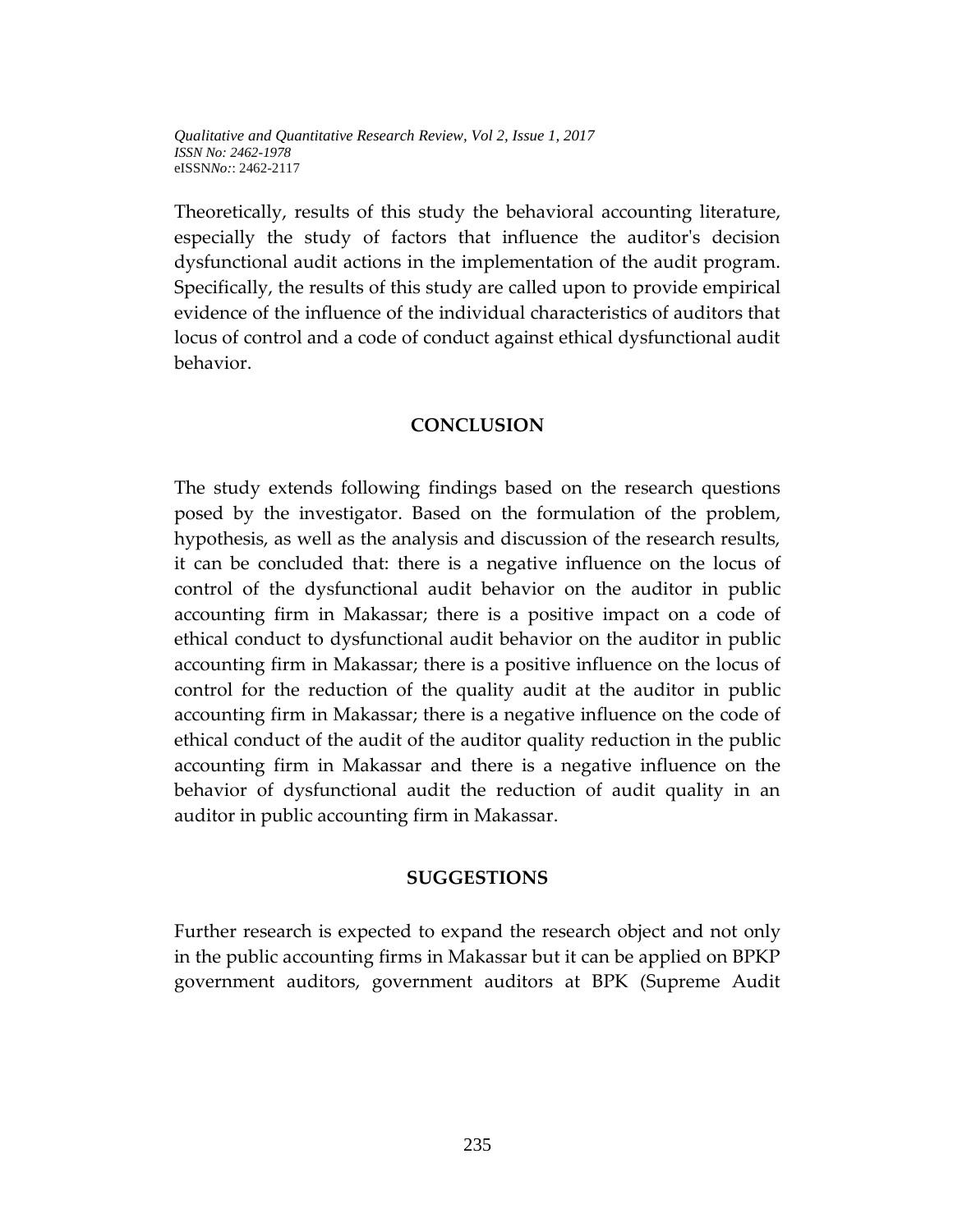Theoretically, results of this study the behavioral accounting literature, especially the study of factors that influence the auditor's decision dysfunctional audit actions in the implementation of the audit program. Specifically, the results of this study are called upon to provide empirical evidence of the influence of the individual characteristics of auditors that locus of control and a code of conduct against ethical dysfunctional audit behavior.

#### **CONCLUSION**

The study extends following findings based on the research questions posed by the investigator. Based on the formulation of the problem, hypothesis, as well as the analysis and discussion of the research results, it can be concluded that: there is a negative influence on the locus of control of the dysfunctional audit behavior on the auditor in public accounting firm in Makassar; there is a positive impact on a code of ethical conduct to dysfunctional audit behavior on the auditor in public accounting firm in Makassar; there is a positive influence on the locus of control for the reduction of the quality audit at the auditor in public accounting firm in Makassar; there is a negative influence on the code of ethical conduct of the audit of the auditor quality reduction in the public accounting firm in Makassar and there is a negative influence on the behavior of dysfunctional audit the reduction of audit quality in an auditor in public accounting firm in Makassar.

#### **SUGGESTIONS**

Further research is expected to expand the research object and not only in the public accounting firms in Makassar but it can be applied on BPKP government auditors, government auditors at BPK (Supreme Audit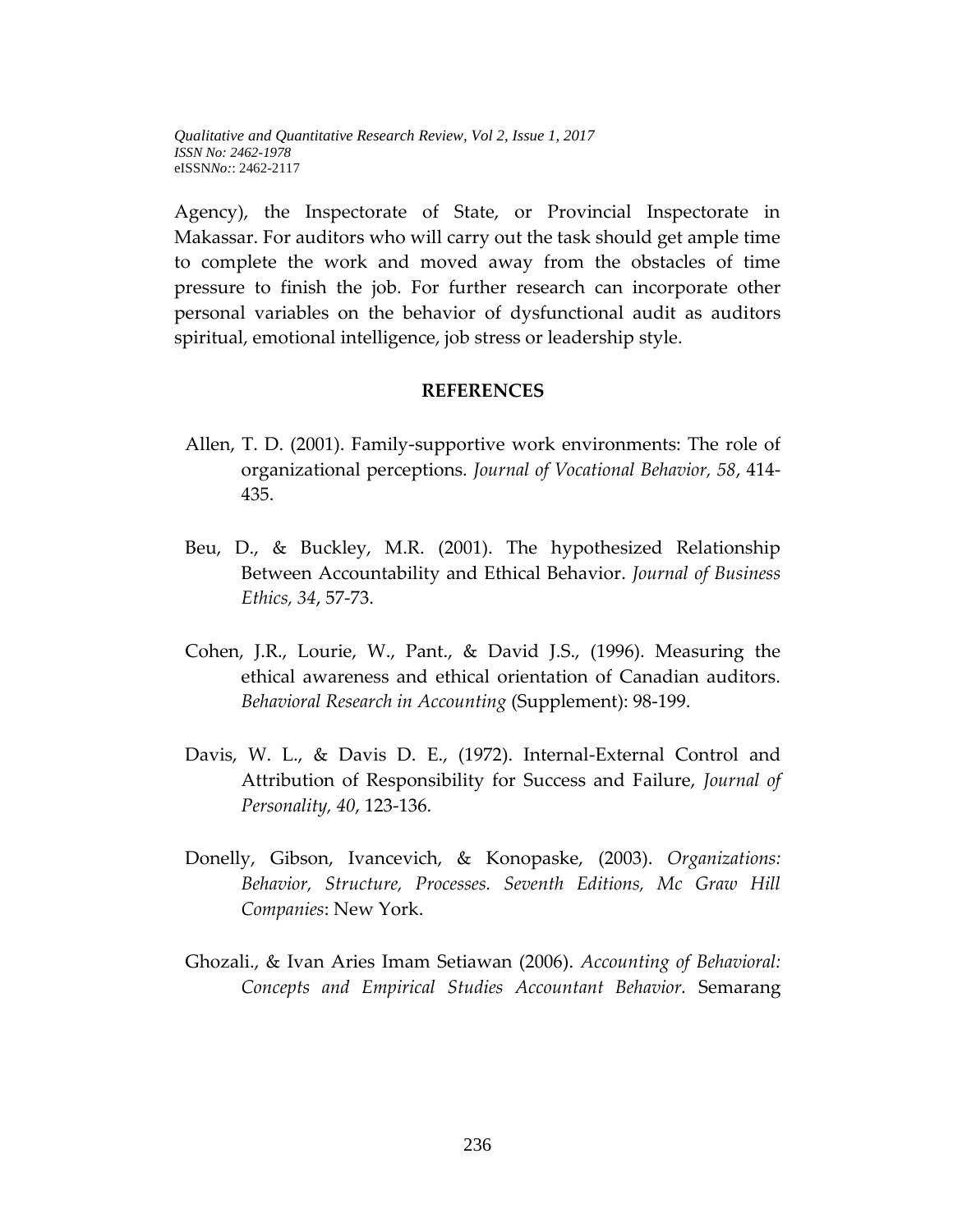Agency), the Inspectorate of State, or Provincial Inspectorate in Makassar. For auditors who will carry out the task should get ample time to complete the work and moved away from the obstacles of time pressure to finish the job. For further research can incorporate other personal variables on the behavior of dysfunctional audit as auditors spiritual, emotional intelligence, job stress or leadership style.

### **REFERENCES**

- Allen, T. D. (2001). Family-supportive work environments: The role of organizational perceptions. *Journal of Vocational Behavior, 58*, 414- 435.
- Beu, D., & Buckley, M.R. (2001). The hypothesized Relationship Between Accountability and Ethical Behavior. *Journal of Business Ethics, 34*, 57-73.
- Cohen, J.R., Lourie, W., Pant., & David J.S., (1996). Measuring the ethical awareness and ethical orientation of Canadian auditors. *Behavioral Research in Accounting* (Supplement): 98-199.
- Davis, W. L., & Davis D. E., (1972). Internal-External Control and Attribution of Responsibility for Success and Failure, *Journal of Personality, 40*, 123-136.
- Donelly, Gibson, Ivancevich, & Konopaske, (2003). *Organizations: Behavior, Structure, Processes. Seventh Editions, Mc Graw Hill Companies*: New York.
- Ghozali., & Ivan Aries Imam Setiawan (2006). *Accounting of Behavioral: Concepts and Empirical Studies Accountant Behavior.* Semarang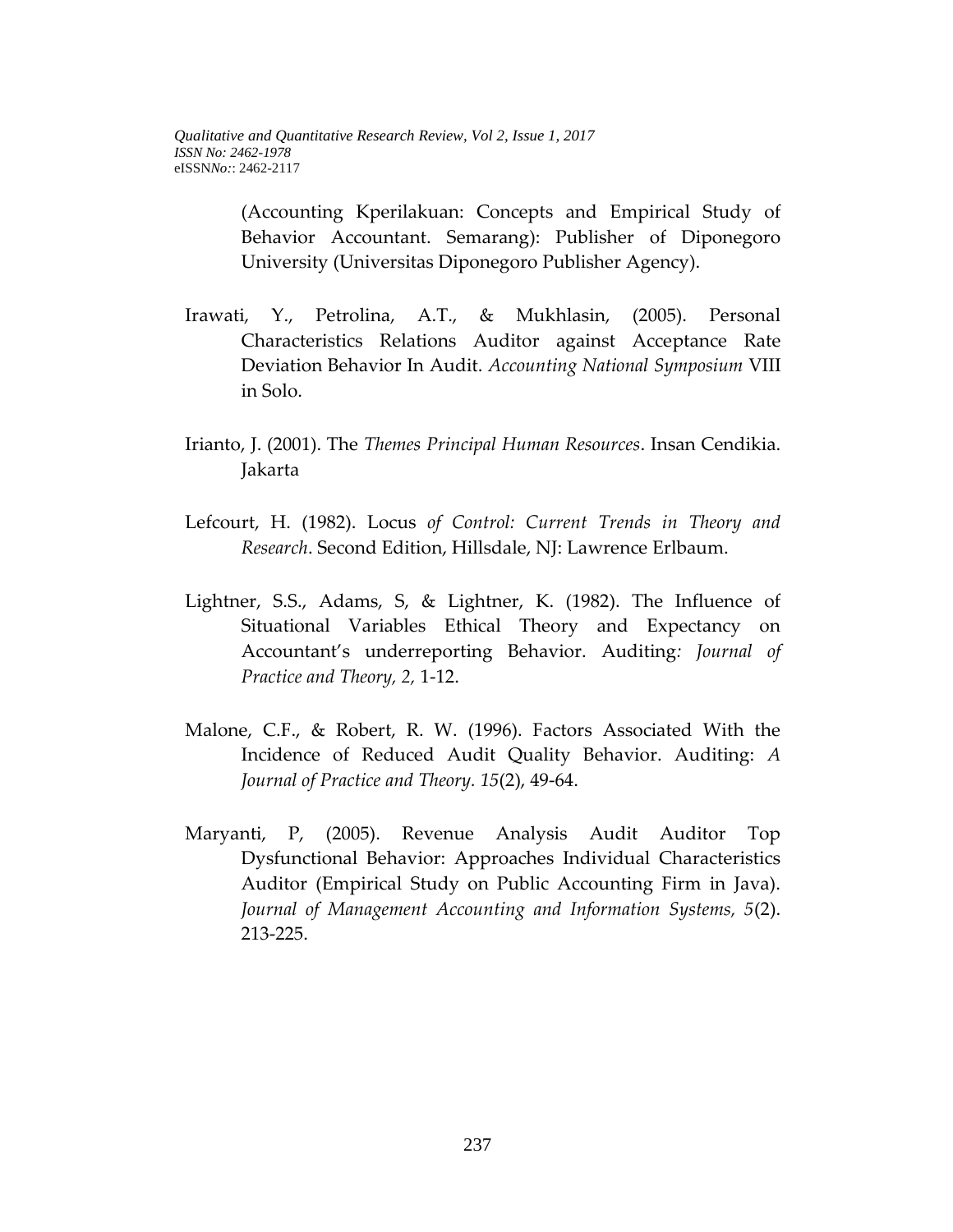(Accounting Kperilakuan: Concepts and Empirical Study of Behavior Accountant. Semarang): Publisher of Diponegoro University (Universitas Diponegoro Publisher Agency).

- Irawati, Y., Petrolina, A.T., & Mukhlasin, (2005). Personal Characteristics Relations Auditor against Acceptance Rate Deviation Behavior In Audit. *Accounting National Symposium* VIII in Solo.
- Irianto, J. (2001). The *Themes Principal Human Resources*. Insan Cendikia. Jakarta
- Lefcourt, H. (1982). Locus *of Control: Current Trends in Theory and Research*. Second Edition, Hillsdale, NJ: Lawrence Erlbaum.
- Lightner, S.S., Adams, S, & Lightner, K. (1982). The Influence of Situational Variables Ethical Theory and Expectancy on Accountant's underreporting Behavior. Auditing*: Journal of Practice and Theory, 2,* 1-12.
- Malone, C.F., & Robert, R. W. (1996). Factors Associated With the Incidence of Reduced Audit Quality Behavior. Auditing: *A Journal of Practice and Theory. 15*(2), 49-64.
- Maryanti, P, (2005). Revenue Analysis Audit Auditor Top Dysfunctional Behavior: Approaches Individual Characteristics Auditor (Empirical Study on Public Accounting Firm in Java). *Journal of Management Accounting and Information Systems, 5*(2). 213-225.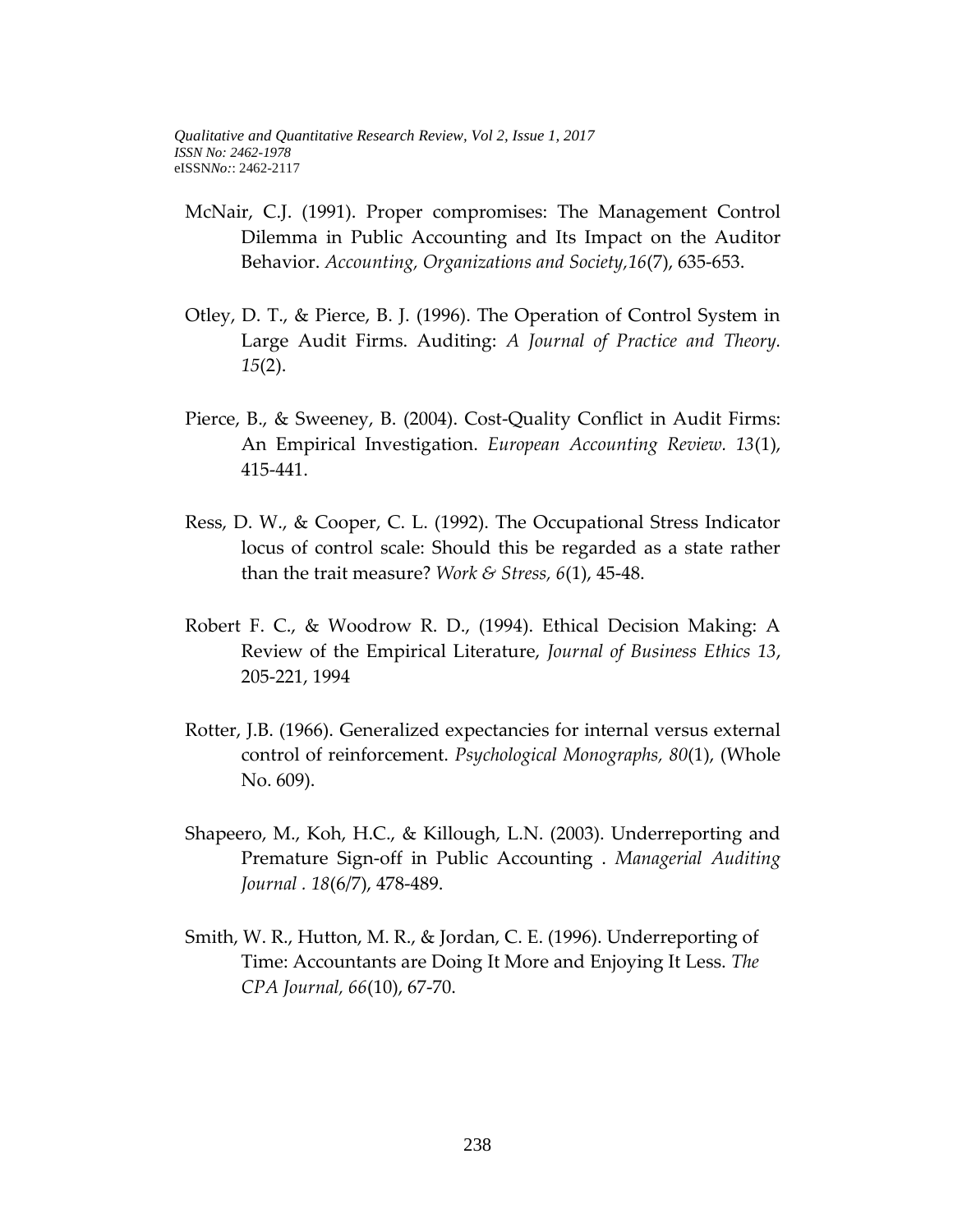- McNair, C.J. (1991). Proper compromises: The Management Control Dilemma in Public Accounting and Its Impact on the Auditor Behavior. *Accounting, Organizations and Society,16*(7), 635-653.
- Otley, D. T., & Pierce, B. J. (1996). The Operation of Control System in Large Audit Firms. Auditing: *A Journal of Practice and Theory. 15*(2).
- Pierce, B., & Sweeney, B. (2004). Cost-Quality Conflict in Audit Firms: An Empirical Investigation. *European Accounting Review. 13*(1), 415-441.
- Ress, D. W., & Cooper, C. L. (1992). The Occupational Stress Indicator locus of control scale: Should this be regarded as a state rather than the trait measure? *Work & Stress, 6*(1), 45-48.
- Robert F. C., & Woodrow R. D., (1994). Ethical Decision Making: A Review of the Empirical Literature, *Journal of Business Ethics 13*, 205-221, 1994
- Rotter, J.B. (1966). Generalized expectancies for internal versus external control of reinforcement. *Psychological Monographs, 80*(1), (Whole No. 609).
- Shapeero, M., Koh, H.C., & Killough, L.N. (2003). Underreporting and Premature Sign-off in Public Accounting . *Managerial Auditing Journal . 18*(6/7), 478-489.
- Smith, W. R., Hutton, M. R., & Jordan, C. E. (1996). Underreporting of Time: Accountants are Doing It More and Enjoying It Less. *The CPA Journal, 66*(10), 67-70.